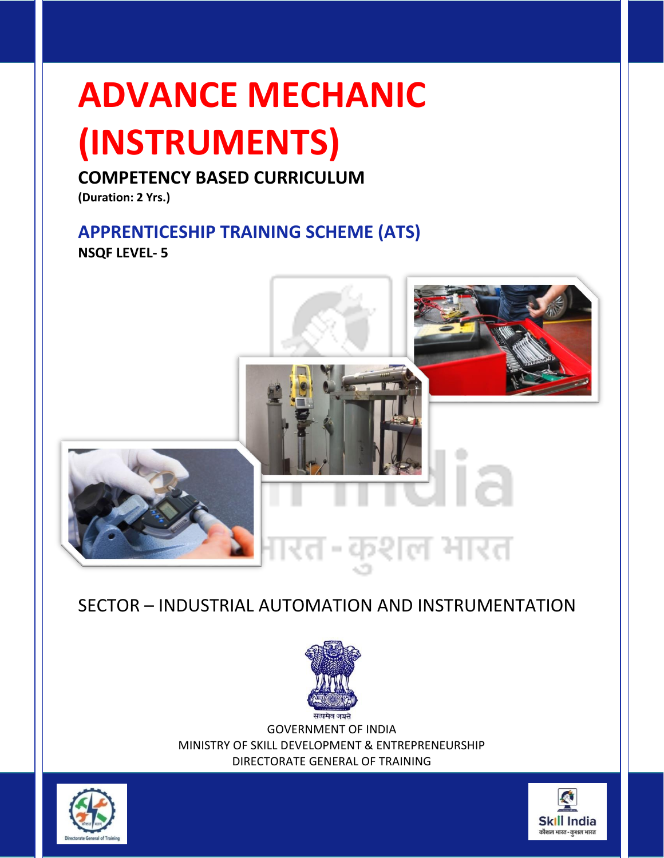### **ADVANCE MECHANIC**

### **(INSTRUMENTS)**

#### **COMPETENCY BASED CURRICULUM**

**(Duration: 2 Yrs.)**

#### **APPRENTICESHIP TRAINING SCHEME (ATS)**

**NSQF LEVEL- 5**



#### SECTOR – INDUSTRIAL AUTOMATION AND INSTRUMENTATION



GOVERNMENT OF INDIA MINISTRY OF SKILL DEVELOPMENT & ENTREPRENEURSHIP DIRECTORATE GENERAL OF TRAINING



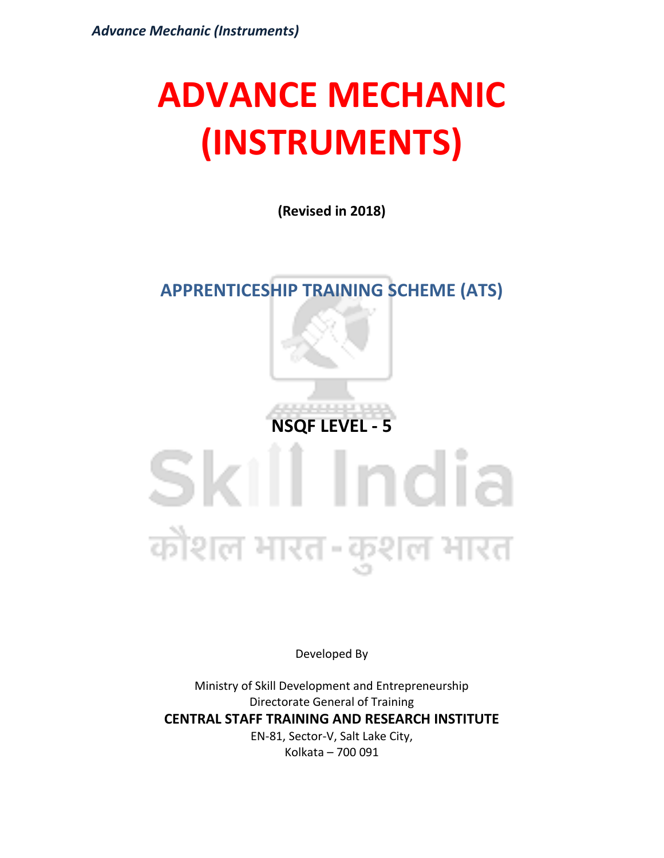### **ADVANCE MECHANIC (INSTRUMENTS)**

**(Revised in 2018)**

#### **APPRENTICESHIP TRAINING SCHEME (ATS)**



### Skill India कोशल भारत-कुशल भारत

Developed By

Ministry of Skill Development and Entrepreneurship Directorate General of Training **CENTRAL STAFF TRAINING AND RESEARCH INSTITUTE** EN-81, Sector-V, Salt Lake City, Kolkata – 700 091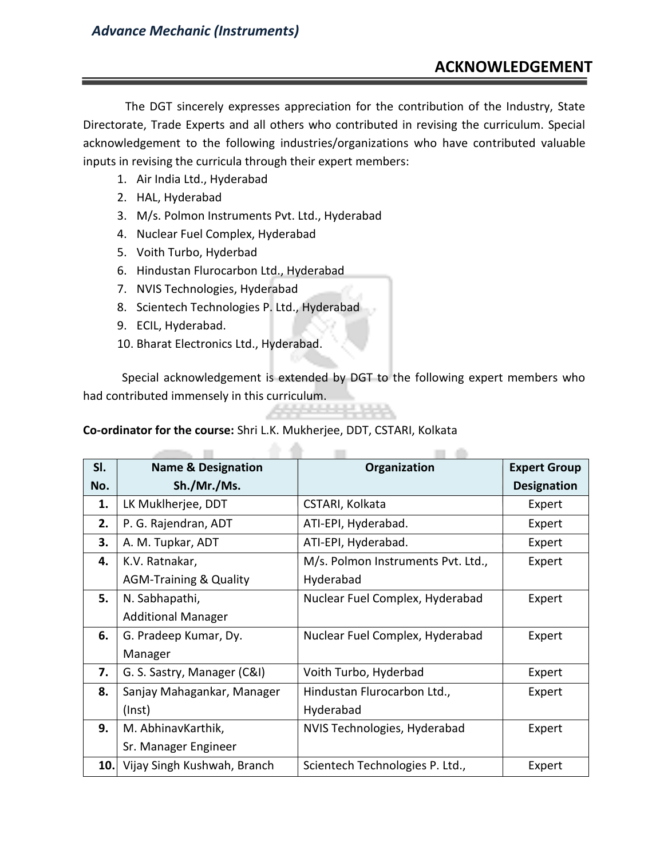#### **ACKNOWLEDGEMENT**

The DGT sincerely expresses appreciation for the contribution of the Industry, State Directorate, Trade Experts and all others who contributed in revising the curriculum. Special acknowledgement to the following industries/organizations who have contributed valuable inputs in revising the curricula through their expert members:

- 1. Air India Ltd., Hyderabad
- 2. HAL, Hyderabad
- 3. M/s. Polmon Instruments Pvt. Ltd., Hyderabad
- 4. Nuclear Fuel Complex, Hyderabad
- 5. Voith Turbo, Hyderbad
- 6. Hindustan Flurocarbon Ltd., Hyderabad
- 7. NVIS Technologies, Hyderabad

 $\sim$ 

- 8. Scientech Technologies P. Ltd., Hyderabad
- 9. ECIL, Hyderabad.
- 10. Bharat Electronics Ltd., Hyderabad.

Special acknowledgement is extended by DGT to the following expert members who had contributed immensely in this curriculum. 22222 23 23 2

 $\sim$ 

and the

**Co-ordinator for the course:** Shri L.K. Mukherjee, DDT, CSTARI, Kolkata

▲ ▲

| SI. | <b>Name &amp; Designation</b>     | Organization                       | <b>Expert Group</b> |
|-----|-----------------------------------|------------------------------------|---------------------|
| No. | Sh./Mr./Ms.                       |                                    | <b>Designation</b>  |
| 1.  | LK Muklherjee, DDT                | CSTARI, Kolkata                    | Expert              |
| 2.  | P. G. Rajendran, ADT              | ATI-EPI, Hyderabad.                | Expert              |
| 3.  | A. M. Tupkar, ADT                 | ATI-EPI, Hyderabad.                | Expert              |
| 4.  | K.V. Ratnakar,                    | M/s. Polmon Instruments Pvt. Ltd., | Expert              |
|     | <b>AGM-Training &amp; Quality</b> | Hyderabad                          |                     |
| 5.  | N. Sabhapathi,                    | Nuclear Fuel Complex, Hyderabad    | Expert              |
|     | <b>Additional Manager</b>         |                                    |                     |
| 6.  | G. Pradeep Kumar, Dy.             | Nuclear Fuel Complex, Hyderabad    | Expert              |
|     | Manager                           |                                    |                     |
| 7.  | G. S. Sastry, Manager (C&I)       | Voith Turbo, Hyderbad              | Expert              |
| 8.  | Sanjay Mahagankar, Manager        | Hindustan Flurocarbon Ltd.,        | Expert              |
|     | $($ lnst $)$                      | Hyderabad                          |                     |
| 9.  | M. AbhinavKarthik,                | NVIS Technologies, Hyderabad       | Expert              |
|     | Sr. Manager Engineer              |                                    |                     |
| 10. | Vijay Singh Kushwah, Branch       | Scientech Technologies P. Ltd.,    | Expert              |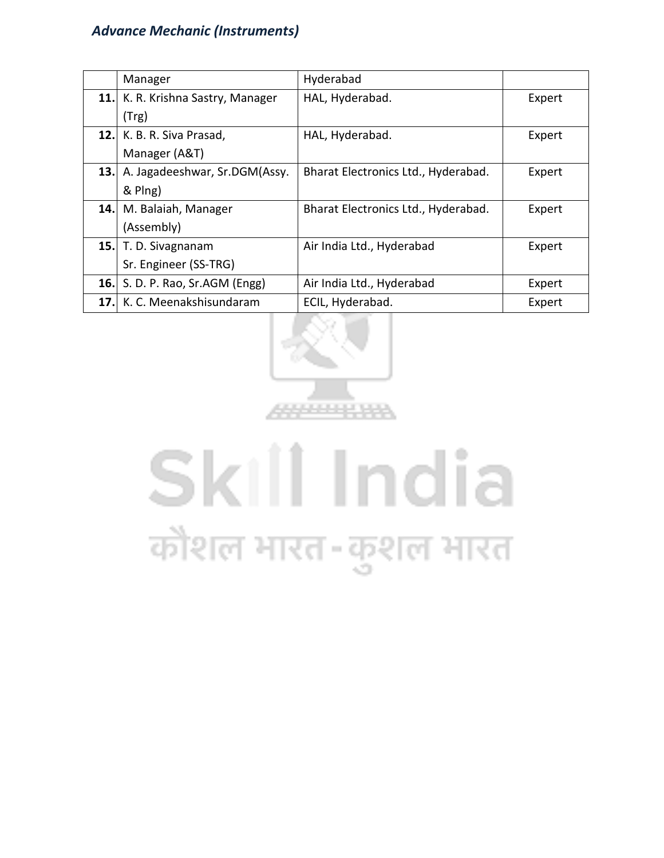|      | Manager                           | Hyderabad                           |        |
|------|-----------------------------------|-------------------------------------|--------|
|      | 11. K. R. Krishna Sastry, Manager | HAL, Hyderabad.                     | Expert |
|      | (Trg)                             |                                     |        |
|      | 12. K. B. R. Siva Prasad,         | HAL, Hyderabad.                     | Expert |
|      | Manager (A&T)                     |                                     |        |
|      | 13. A. Jagadeeshwar, Sr.DGM(Assy. | Bharat Electronics Ltd., Hyderabad. | Expert |
|      | & Plng)                           |                                     |        |
|      | 14. M. Balaiah, Manager           | Bharat Electronics Ltd., Hyderabad. | Expert |
|      | (Assembly)                        |                                     |        |
|      | 15. T. D. Sivagnanam              | Air India Ltd., Hyderabad           | Expert |
|      | Sr. Engineer (SS-TRG)             |                                     |        |
| 16.1 | S. D. P. Rao, Sr.AGM (Engg)       | Air India Ltd., Hyderabad           | Expert |
|      | 17. K. C. Meenakshisundaram       | ECIL, Hyderabad.                    | Expert |



## Skill India कौशल भारत-कुशल भारत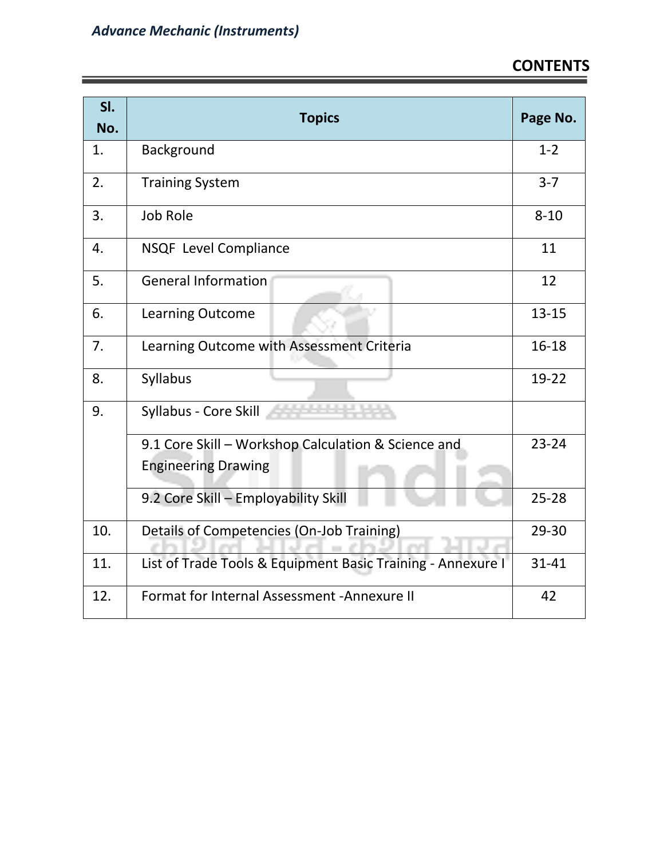| SI.<br>No. | <b>Topics</b>                                               | Page No.  |
|------------|-------------------------------------------------------------|-----------|
| 1.         | Background                                                  | $1 - 2$   |
| 2.         | <b>Training System</b>                                      | $3 - 7$   |
| 3.         | <b>Job Role</b>                                             | $8 - 10$  |
| 4.         | <b>NSQF Level Compliance</b>                                | 11        |
| 5.         | <b>General Information</b>                                  | 12        |
| 6.         | <b>Learning Outcome</b>                                     | $13 - 15$ |
| 7.         | Learning Outcome with Assessment Criteria                   | $16 - 18$ |
| 8.         | Syllabus                                                    | 19-22     |
| 9.         | Syllabus - Core Skill                                       |           |
|            | 9.1 Core Skill - Workshop Calculation & Science and         | $23 - 24$ |
|            | <b>Engineering Drawing</b>                                  |           |
|            | 9.2 Core Skill - Employability Skill                        | $25 - 28$ |
| 10.        | Details of Competencies (On-Job Training)                   | 29-30     |
| 11.        | List of Trade Tools & Equipment Basic Training - Annexure I | 31-41     |
| 12.        | Format for Internal Assessment - Annexure II                | 42        |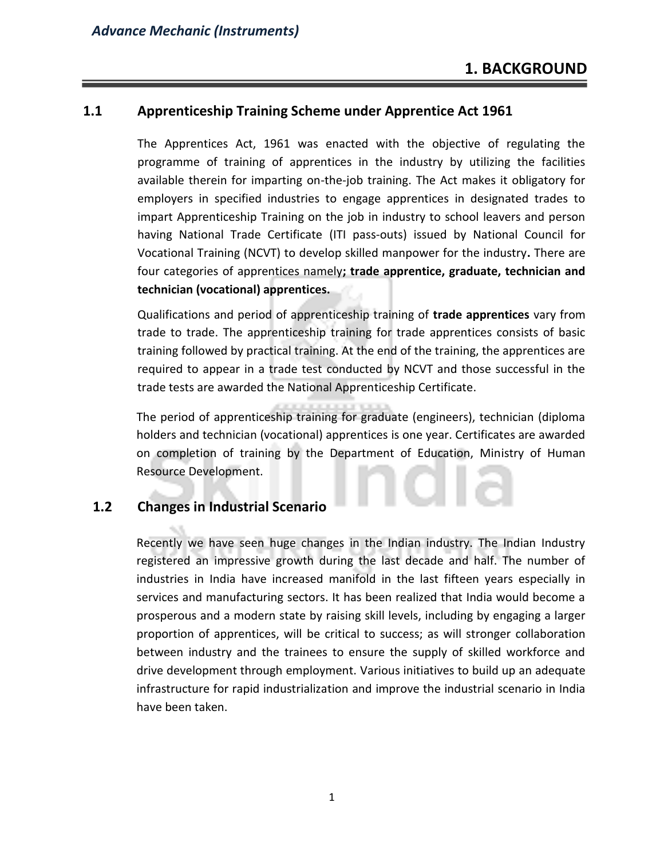#### **1.1 Apprenticeship Training Scheme under Apprentice Act 1961**

The Apprentices Act, 1961 was enacted with the objective of regulating the programme of training of apprentices in the industry by utilizing the facilities available therein for imparting on-the-job training. The Act makes it obligatory for employers in specified industries to engage apprentices in designated trades to impart Apprenticeship Training on the job in industry to school leavers and person having National Trade Certificate (ITI pass-outs) issued by National Council for Vocational Training (NCVT) to develop skilled manpower for the industry**.** There are four categories of apprentices namely**; trade apprentice, graduate, technician and technician (vocational) apprentices.** 

Qualifications and period of apprenticeship training of **trade apprentices** vary from trade to trade. The apprenticeship training for trade apprentices consists of basic training followed by practical training. At the end of the training, the apprentices are required to appear in a trade test conducted by NCVT and those successful in the trade tests are awarded the National Apprenticeship Certificate.

The period of apprenticeship training for graduate (engineers), technician (diploma holders and technician (vocational) apprentices is one year. Certificates are awarded on completion of training by the Department of Education, Ministry of Human Resource Development.

#### **1.2 Changes in Industrial Scenario**

Recently we have seen huge changes in the Indian industry. The Indian Industry registered an impressive growth during the last decade and half. The number of industries in India have increased manifold in the last fifteen years especially in services and manufacturing sectors. It has been realized that India would become a prosperous and a modern state by raising skill levels, including by engaging a larger proportion of apprentices, will be critical to success; as will stronger collaboration between industry and the trainees to ensure the supply of skilled workforce and drive development through employment. Various initiatives to build up an adequate infrastructure for rapid industrialization and improve the industrial scenario in India have been taken.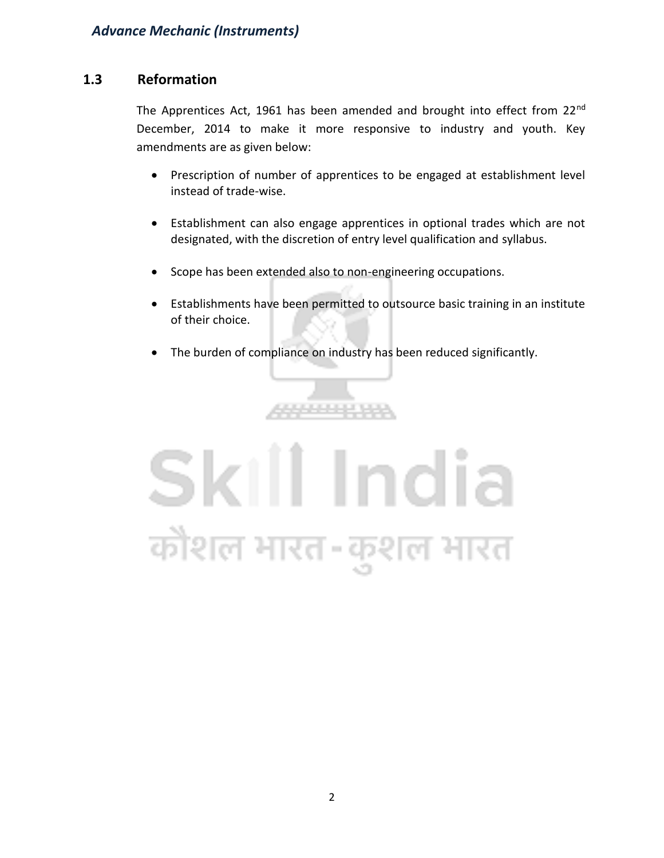#### **1.3 Reformation**

The Apprentices Act, 1961 has been amended and brought into effect from 22<sup>nd</sup> December, 2014 to make it more responsive to industry and youth. Key amendments are as given below:

- Prescription of number of apprentices to be engaged at establishment level instead of trade-wise.
- Establishment can also engage apprentices in optional trades which are not designated, with the discretion of entry level qualification and syllabus.
- Scope has been extended also to non-engineering occupations.
- Establishments have been permitted to outsource basic training in an institute of their choice.
- The burden of compliance on industry has been reduced significantly.

4444444

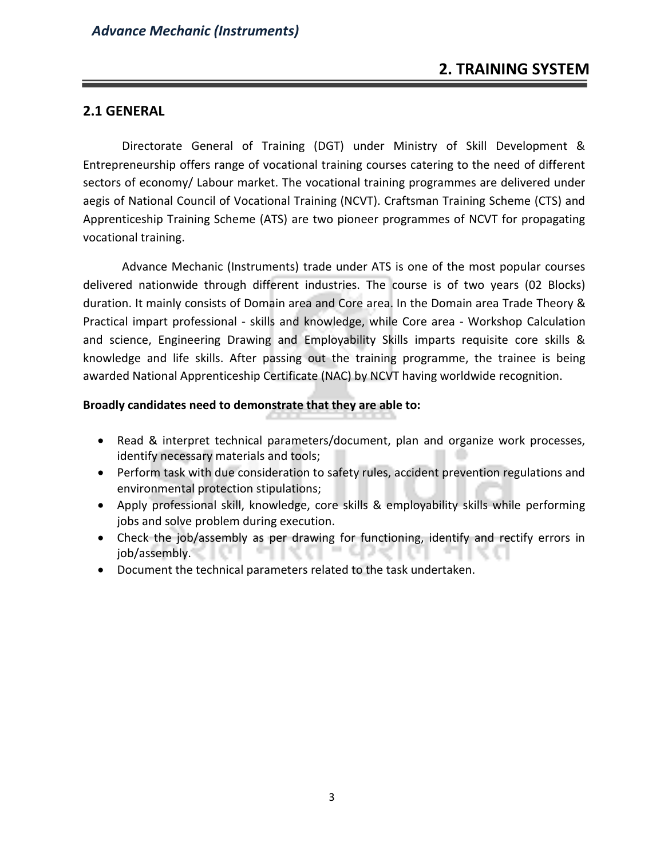#### **2.1 GENERAL**

Directorate General of Training (DGT) under Ministry of Skill Development & Entrepreneurship offers range of vocational training courses catering to the need of different sectors of economy/ Labour market. The vocational training programmes are delivered under aegis of National Council of Vocational Training (NCVT). Craftsman Training Scheme (CTS) and Apprenticeship Training Scheme (ATS) are two pioneer programmes of NCVT for propagating vocational training.

Advance Mechanic (Instruments) trade under ATS is one of the most popular courses delivered nationwide through different industries. The course is of two years (02 Blocks) duration. It mainly consists of Domain area and Core area. In the Domain area Trade Theory & Practical impart professional - skills and knowledge, while Core area - Workshop Calculation and science, Engineering Drawing and Employability Skills imparts requisite core skills & knowledge and life skills. After passing out the training programme, the trainee is being awarded National Apprenticeship Certificate (NAC) by NCVT having worldwide recognition.

#### **Broadly candidates need to demonstrate that they are able to:**

- Read & interpret technical parameters/document, plan and organize work processes, identify necessary materials and tools;
- Perform task with due consideration to safety rules, accident prevention regulations and environmental protection stipulations;
- Apply professional skill, knowledge, core skills & employability skills while performing jobs and solve problem during execution.
- Check the job/assembly as per drawing for functioning, identify and rectify errors in job/assembly.
- Document the technical parameters related to the task undertaken.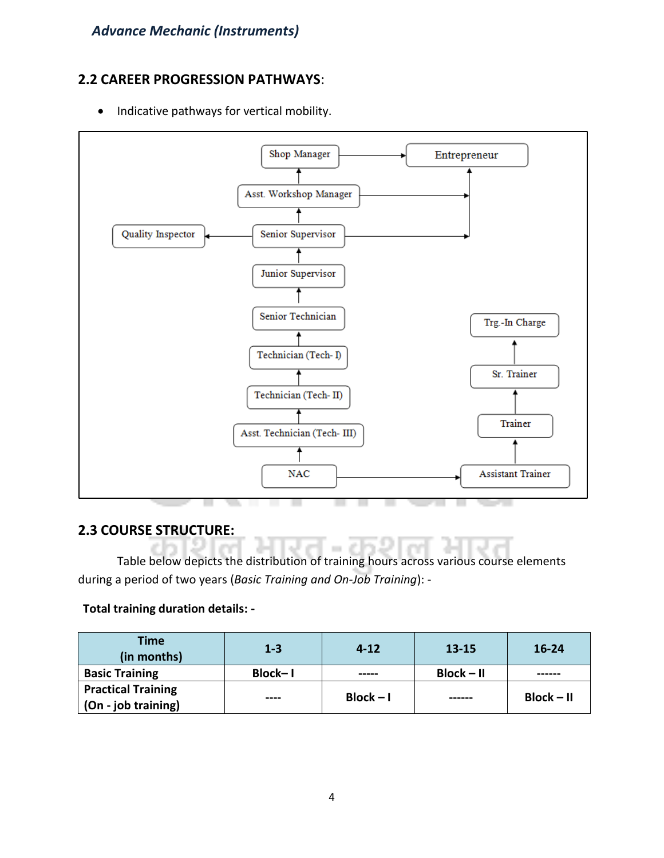#### **2.2 CAREER PROGRESSION PATHWAYS**:

• Indicative pathways for vertical mobility.



#### **2.3 COURSE STRUCTURE:**

Table below depicts the distribution of training hours across various course elements during a period of two years (*Basic Training and On-Job Training*): -

#### **Total training duration details: -**

| Time<br>(in months)       | $1 - 3$   | $4 - 12$    | $13 - 15$    | $16 - 24$    |
|---------------------------|-----------|-------------|--------------|--------------|
| <b>Basic Training</b>     | Block-I   | -----       | $Block - II$ |              |
| <b>Practical Training</b> |           | $Block - I$ |              | $Block - II$ |
| (On - job training)       | $- - - -$ |             | ------       |              |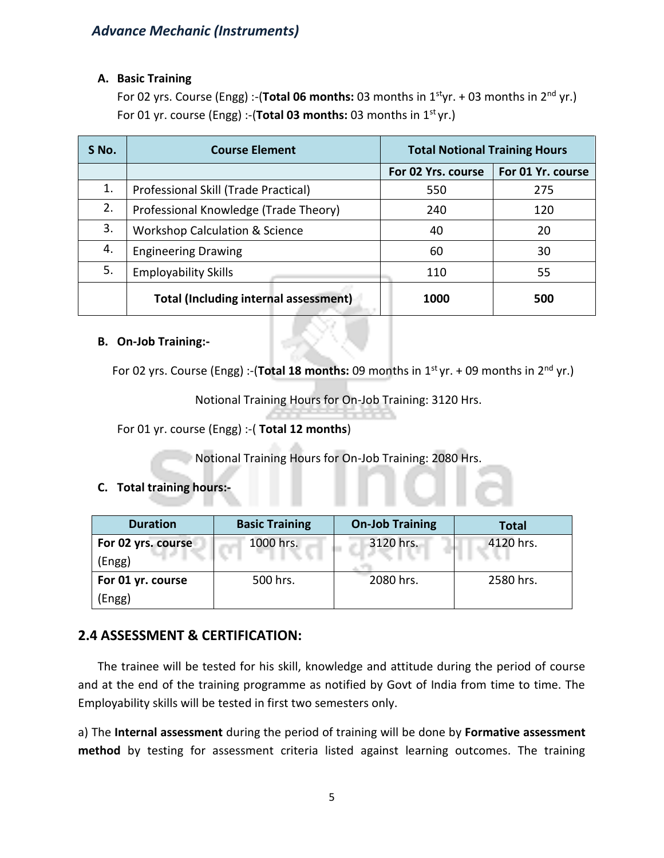#### **A. Basic Training**

For 02 yrs. Course (Engg) :-(**Total 06 months:** 03 months in 1styr. + 03 months in 2nd yr.) For 01 yr. course (Engg) :-(**Total 03 months:** 03 months in 1st yr.)

| S No. | <b>Course Element</b>                        | <b>Total Notional Training Hours</b> |                   |
|-------|----------------------------------------------|--------------------------------------|-------------------|
|       |                                              | For 02 Yrs. course                   | For 01 Yr. course |
| 1.    | Professional Skill (Trade Practical)         | 550                                  | 275               |
| 2.    | Professional Knowledge (Trade Theory)        | 240                                  | 120               |
| 3.    | <b>Workshop Calculation &amp; Science</b>    | 40                                   | 20                |
| 4.    | <b>Engineering Drawing</b>                   | 60                                   | 30                |
| 5.    | <b>Employability Skills</b>                  | 110                                  | 55                |
|       | <b>Total (Including internal assessment)</b> | 1000                                 | 500               |

#### **B. On-Job Training:-**

For 02 yrs. Course (Engg) :-(**Total 18 months:** 09 months in 1st yr. + 09 months in 2nd yr.)

Notional Training Hours for On-Job Training: 3120 Hrs.

For 01 yr. course (Engg) :-( **Total 12 months**)

Notional Training Hours for On-Job Training: 2080 Hrs.

#### **C. Total training hours:-**

| <b>Duration</b>    | <b>Basic Training</b> | <b>On-Job Training</b> | <b>Total</b> |
|--------------------|-----------------------|------------------------|--------------|
| For 02 yrs. course | 1000 hrs.             | 3120 hrs.              | 4120 hrs.    |
| (Engg)             |                       |                        |              |
| For 01 yr. course  | 500 hrs.              | 2080 hrs.              | 2580 hrs.    |
| (Engg)             |                       |                        |              |

#### **2.4 ASSESSMENT & CERTIFICATION:**

The trainee will be tested for his skill, knowledge and attitude during the period of course and at the end of the training programme as notified by Govt of India from time to time. The Employability skills will be tested in first two semesters only.

a) The **Internal assessment** during the period of training will be done by **Formative assessment method** by testing for assessment criteria listed against learning outcomes. The training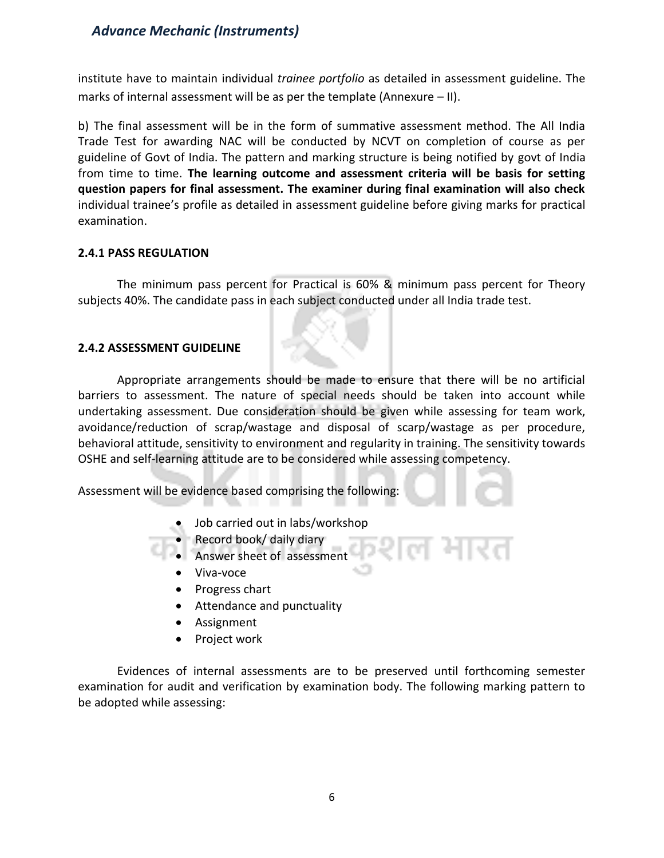institute have to maintain individual *trainee portfolio* as detailed in assessment guideline. The marks of internal assessment will be as per the template (Annexure – II).

b) The final assessment will be in the form of summative assessment method. The All India Trade Test for awarding NAC will be conducted by NCVT on completion of course as per guideline of Govt of India. The pattern and marking structure is being notified by govt of India from time to time. **The learning outcome and assessment criteria will be basis for setting question papers for final assessment. The examiner during final examination will also check**  individual trainee's profile as detailed in assessment guideline before giving marks for practical examination.

#### **2.4.1 PASS REGULATION**

The minimum pass percent for Practical is 60% & minimum pass percent for Theory subjects 40%. The candidate pass in each subject conducted under all India trade test.

#### **2.4.2 ASSESSMENT GUIDELINE**

Appropriate arrangements should be made to ensure that there will be no artificial barriers to assessment. The nature of special needs should be taken into account while undertaking assessment. Due consideration should be given while assessing for team work, avoidance/reduction of scrap/wastage and disposal of scarp/wastage as per procedure, behavioral attitude, sensitivity to environment and regularity in training. The sensitivity towards OSHE and self-learning attitude are to be considered while assessing competency.

Assessment will be evidence based comprising the following:

- Job carried out in labs/workshop
- Record book/ daily diary
- Answer sheet of assessment
	- Viva-voce
	- Progress chart
- Attendance and punctuality
- Assignment
- Project work

Evidences of internal assessments are to be preserved until forthcoming semester examination for audit and verification by examination body. The following marking pattern to be adopted while assessing: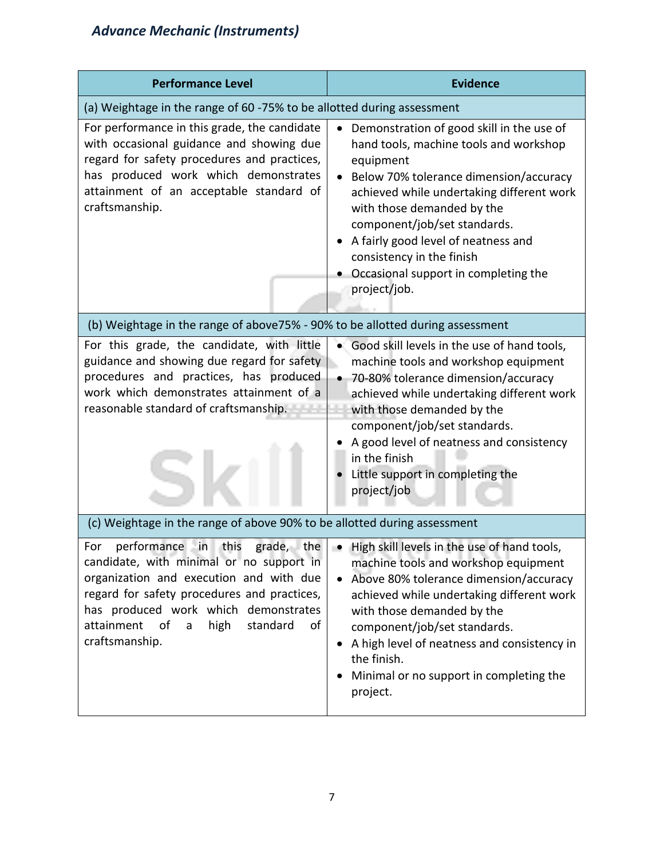| <b>Performance Level</b>                                                                                                                                                                                                                                                            | <b>Evidence</b>                                                                                                                                                                                                                                                                                                                                                                                |
|-------------------------------------------------------------------------------------------------------------------------------------------------------------------------------------------------------------------------------------------------------------------------------------|------------------------------------------------------------------------------------------------------------------------------------------------------------------------------------------------------------------------------------------------------------------------------------------------------------------------------------------------------------------------------------------------|
| (a) Weightage in the range of 60 -75% to be allotted during assessment                                                                                                                                                                                                              |                                                                                                                                                                                                                                                                                                                                                                                                |
| For performance in this grade, the candidate<br>with occasional guidance and showing due<br>regard for safety procedures and practices,<br>has produced work which demonstrates<br>attainment of an acceptable standard of<br>craftsmanship.                                        | Demonstration of good skill in the use of<br>hand tools, machine tools and workshop<br>equipment<br>Below 70% tolerance dimension/accuracy<br>achieved while undertaking different work<br>with those demanded by the<br>component/job/set standards.<br>A fairly good level of neatness and<br>consistency in the finish<br>Occasional support in completing the<br>project/job.              |
| (b) Weightage in the range of above75% - 90% to be allotted during assessment                                                                                                                                                                                                       |                                                                                                                                                                                                                                                                                                                                                                                                |
| For this grade, the candidate, with little<br>guidance and showing due regard for safety<br>procedures and practices, has produced<br>work which demonstrates attainment of a<br>reasonable standard of craftsmanship.                                                              | Good skill levels in the use of hand tools,<br>machine tools and workshop equipment<br>70-80% tolerance dimension/accuracy<br>achieved while undertaking different work<br>with those demanded by the<br>component/job/set standards.<br>A good level of neatness and consistency<br>in the finish<br>Little support in completing the<br>project/job                                          |
| (c) Weightage in the range of above 90% to be allotted during assessment                                                                                                                                                                                                            |                                                                                                                                                                                                                                                                                                                                                                                                |
| this<br>performance<br>For<br>in<br>candidate, with minimal or no support in<br>organization and execution and with due<br>regard for safety procedures and practices,<br>has produced work which demonstrates<br>attainment<br>of<br>high<br>standard<br>of<br>a<br>craftsmanship. | grade, the $\vert \bullet \vert$ High skill levels in the use of hand tools,<br>machine tools and workshop equipment<br>Above 80% tolerance dimension/accuracy<br>achieved while undertaking different work<br>with those demanded by the<br>component/job/set standards.<br>A high level of neatness and consistency in<br>the finish.<br>Minimal or no support in completing the<br>project. |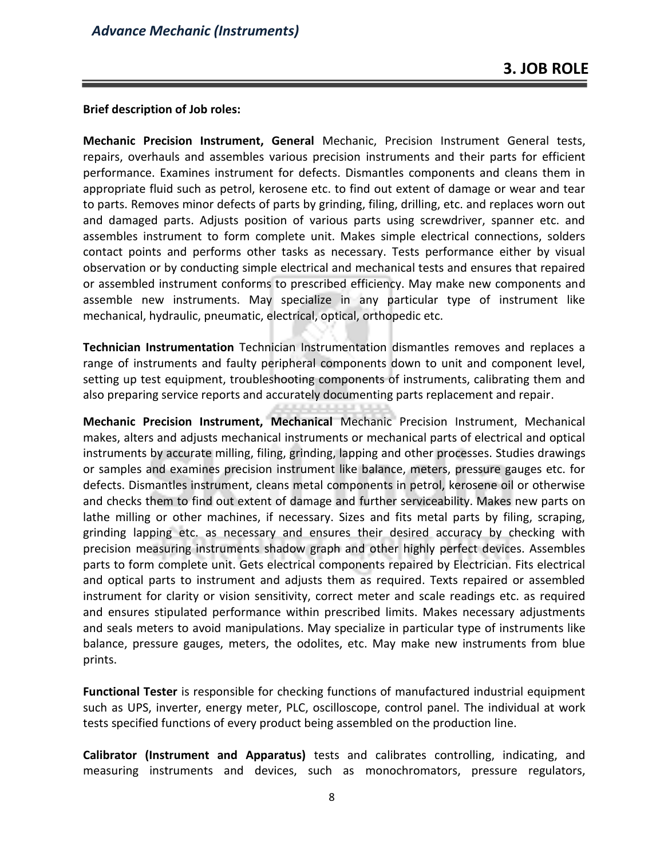#### **Brief description of Job roles:**

**Mechanic Precision Instrument, General** Mechanic, Precision Instrument General tests, repairs, overhauls and assembles various precision instruments and their parts for efficient performance. Examines instrument for defects. Dismantles components and cleans them in appropriate fluid such as petrol, kerosene etc. to find out extent of damage or wear and tear to parts. Removes minor defects of parts by grinding, filing, drilling, etc. and replaces worn out and damaged parts. Adjusts position of various parts using screwdriver, spanner etc. and assembles instrument to form complete unit. Makes simple electrical connections, solders contact points and performs other tasks as necessary. Tests performance either by visual observation or by conducting simple electrical and mechanical tests and ensures that repaired or assembled instrument conforms to prescribed efficiency. May make new components and assemble new instruments. May specialize in any particular type of instrument like mechanical, hydraulic, pneumatic, electrical, optical, orthopedic etc.

**Technician Instrumentation** Technician Instrumentation dismantles removes and replaces a range of instruments and faulty peripheral components down to unit and component level, setting up test equipment, troubleshooting components of instruments, calibrating them and also preparing service reports and accurately documenting parts replacement and repair.

**Mechanic Precision Instrument, Mechanical** Mechanic Precision Instrument, Mechanical makes, alters and adjusts mechanical instruments or mechanical parts of electrical and optical instruments by accurate milling, filing, grinding, lapping and other processes. Studies drawings or samples and examines precision instrument like balance, meters, pressure gauges etc. for defects. Dismantles instrument, cleans metal components in petrol, kerosene oil or otherwise and checks them to find out extent of damage and further serviceability. Makes new parts on lathe milling or other machines, if necessary. Sizes and fits metal parts by filing, scraping, grinding lapping etc. as necessary and ensures their desired accuracy by checking with precision measuring instruments shadow graph and other highly perfect devices. Assembles parts to form complete unit. Gets electrical components repaired by Electrician. Fits electrical and optical parts to instrument and adjusts them as required. Texts repaired or assembled instrument for clarity or vision sensitivity, correct meter and scale readings etc. as required and ensures stipulated performance within prescribed limits. Makes necessary adjustments and seals meters to avoid manipulations. May specialize in particular type of instruments like balance, pressure gauges, meters, the odolites, etc. May make new instruments from blue prints.

**Functional Tester** is responsible for checking functions of manufactured industrial equipment such as UPS, inverter, energy meter, PLC, oscilloscope, control panel. The individual at work tests specified functions of every product being assembled on the production line.

**Calibrator (Instrument and Apparatus)** tests and calibrates controlling, indicating, and measuring instruments and devices, such as monochromators, pressure regulators,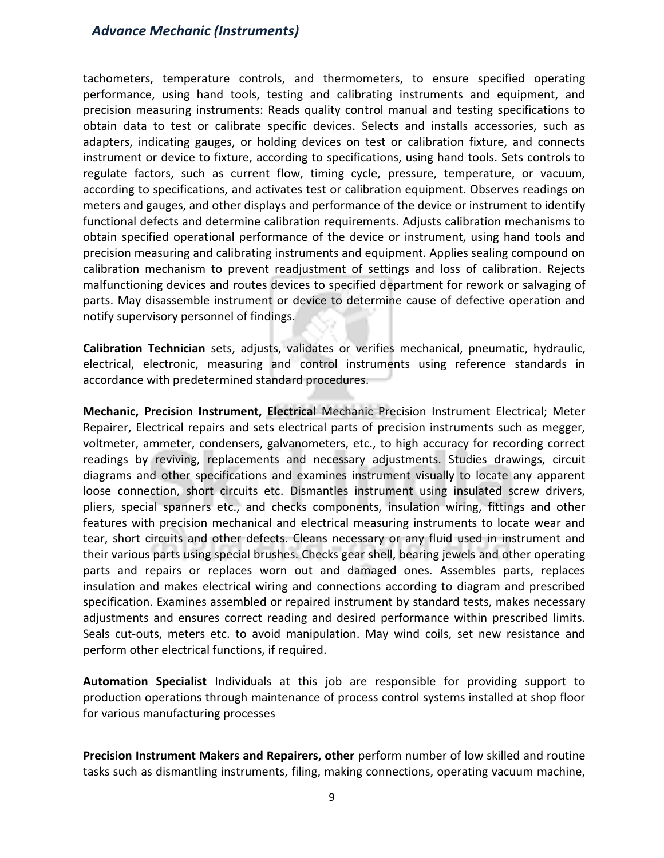tachometers, temperature controls, and thermometers, to ensure specified operating performance, using hand tools, testing and calibrating instruments and equipment, and precision measuring instruments: Reads quality control manual and testing specifications to obtain data to test or calibrate specific devices. Selects and installs accessories, such as adapters, indicating gauges, or holding devices on test or calibration fixture, and connects instrument or device to fixture, according to specifications, using hand tools. Sets controls to regulate factors, such as current flow, timing cycle, pressure, temperature, or vacuum, according to specifications, and activates test or calibration equipment. Observes readings on meters and gauges, and other displays and performance of the device or instrument to identify functional defects and determine calibration requirements. Adjusts calibration mechanisms to obtain specified operational performance of the device or instrument, using hand tools and precision measuring and calibrating instruments and equipment. Applies sealing compound on calibration mechanism to prevent readjustment of settings and loss of calibration. Rejects malfunctioning devices and routes devices to specified department for rework or salvaging of parts. May disassemble instrument or device to determine cause of defective operation and notify supervisory personnel of findings.

**Calibration Technician** sets, adjusts, validates or verifies mechanical, pneumatic, hydraulic, electrical, electronic, measuring and control instruments using reference standards in accordance with predetermined standard procedures.

**Mechanic, Precision Instrument, Electrical** Mechanic Precision Instrument Electrical; Meter Repairer, Electrical repairs and sets electrical parts of precision instruments such as megger, voltmeter, ammeter, condensers, galvanometers, etc., to high accuracy for recording correct readings by reviving, replacements and necessary adjustments. Studies drawings, circuit diagrams and other specifications and examines instrument visually to locate any apparent loose connection, short circuits etc. Dismantles instrument using insulated screw drivers, pliers, special spanners etc., and checks components, insulation wiring, fittings and other features with precision mechanical and electrical measuring instruments to locate wear and tear, short circuits and other defects. Cleans necessary or any fluid used in instrument and their various parts using special brushes. Checks gear shell, bearing jewels and other operating parts and repairs or replaces worn out and damaged ones. Assembles parts, replaces insulation and makes electrical wiring and connections according to diagram and prescribed specification. Examines assembled or repaired instrument by standard tests, makes necessary adjustments and ensures correct reading and desired performance within prescribed limits. Seals cut-outs, meters etc. to avoid manipulation. May wind coils, set new resistance and perform other electrical functions, if required.

**Automation Specialist** Individuals at this job are responsible for providing support to production operations through maintenance of process control systems installed at shop floor for various manufacturing processes

**Precision Instrument Makers and Repairers, other** perform number of low skilled and routine tasks such as dismantling instruments, filing, making connections, operating vacuum machine,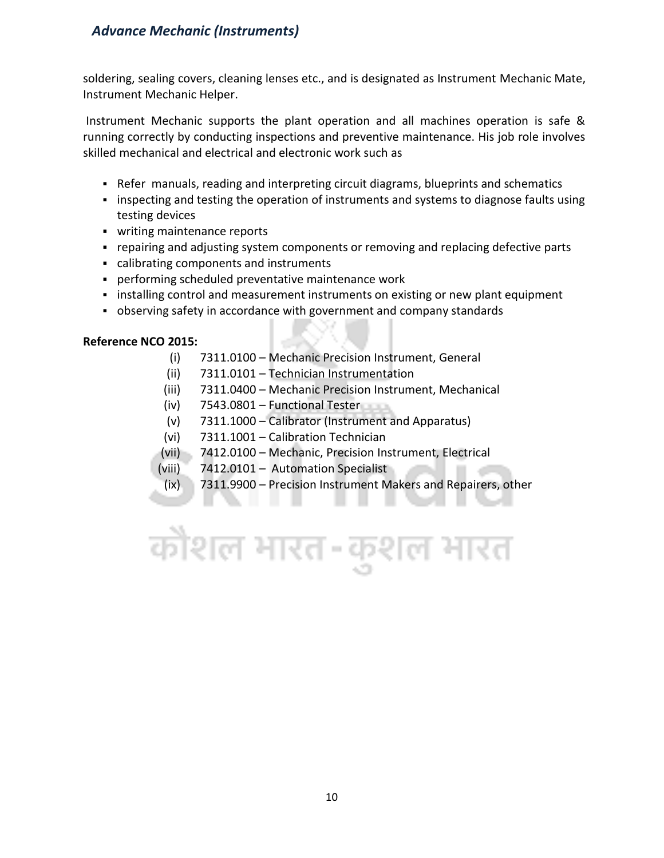soldering, sealing covers, cleaning lenses etc., and is designated as Instrument Mechanic Mate, Instrument Mechanic Helper.

Instrument Mechanic supports the plant operation and all machines operation is safe & running correctly by conducting inspections and preventive maintenance. His job role involves skilled mechanical and electrical and electronic work such as

- **•** Refer manuals, reading and interpreting circuit diagrams, blueprints and schematics
- inspecting and testing the operation of instruments and systems to diagnose faults using testing devices
- writing maintenance reports
- repairing and adjusting system components or removing and replacing defective parts
- calibrating components and instruments
- performing scheduled preventative maintenance work
- **.** installing control and measurement instruments on existing or new plant equipment
- observing safety in accordance with government and company standards

#### **Reference NCO 2015:**

- (i) 7311.0100 Mechanic Precision Instrument, General
- (ii) 7311.0101 Technician Instrumentation
- (iii) 7311.0400 Mechanic Precision Instrument, Mechanical
- (iv) 7543.0801 Functional Tester
- (v) 7311.1000 Calibrator (Instrument and Apparatus)
- (vi) 7311.1001 Calibration Technician
- (vii) 7412.0100 Mechanic, Precision Instrument, Electrical
- (viii) 7412.0101 Automation Specialist

. . .

(ix) 7311.9900 – Precision Instrument Makers and Repairers, other

the company of the company

# कौशल भारत-कुशल भारत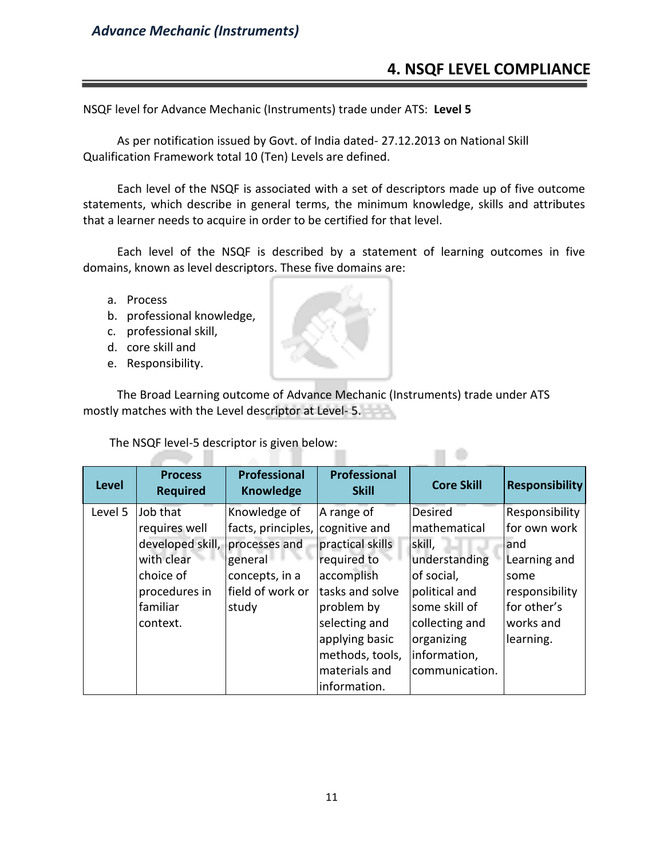#### **4. NSQF LEVEL COMPLIANCE**

 $\Box$ 

NSQF level for Advance Mechanic (Instruments) trade under ATS: **Level 5**

As per notification issued by Govt. of India dated- 27.12.2013 on National Skill Qualification Framework total 10 (Ten) Levels are defined.

Each level of the NSQF is associated with a set of descriptors made up of five outcome statements, which describe in general terms, the minimum knowledge, skills and attributes that a learner needs to acquire in order to be certified for that level.

Each level of the NSQF is described by a statement of learning outcomes in five domains, known as level descriptors. These five domains are:

- a. Process
- b. professional knowledge,
- c. professional skill,
- d. core skill and
- e. Responsibility.

The Broad Learning outcome of Advance Mechanic (Instruments) trade under ATS mostly matches with the Level descriptor at Level- 5.

The NSQF level-5 descriptor is given below:

na m

| <b>Level</b> | <b>Process</b><br><b>Required</b> | <b>Professional</b><br><b>Knowledge</b> | Professional<br><b>Skill</b> | <b>Core Skill</b> | <b>Responsibility</b> |
|--------------|-----------------------------------|-----------------------------------------|------------------------------|-------------------|-----------------------|
| Level 5      | Job that                          | Knowledge of                            | A range of                   | <b>Desired</b>    | Responsibility        |
|              | requires well                     | facts, principles,                      | cognitive and                | mathematical      | for own work          |
|              | developed skill, processes and    |                                         | practical skills             | skill,            | and                   |
|              | with clear                        | general                                 | required to                  | understanding     | Learning and          |
|              | choice of                         | concepts, in a                          | accomplish                   | of social,        | some                  |
|              | procedures in                     | field of work or                        | tasks and solve              | political and     | responsibility        |
|              | familiar                          | study                                   | problem by                   | some skill of     | for other's           |
|              | context.                          |                                         | selecting and                | collecting and    | works and             |
|              |                                   |                                         | applying basic               | organizing        | learning.             |
|              |                                   |                                         | methods, tools,              | information,      |                       |
|              |                                   |                                         | materials and                | communication.    |                       |
|              |                                   |                                         | information.                 |                   |                       |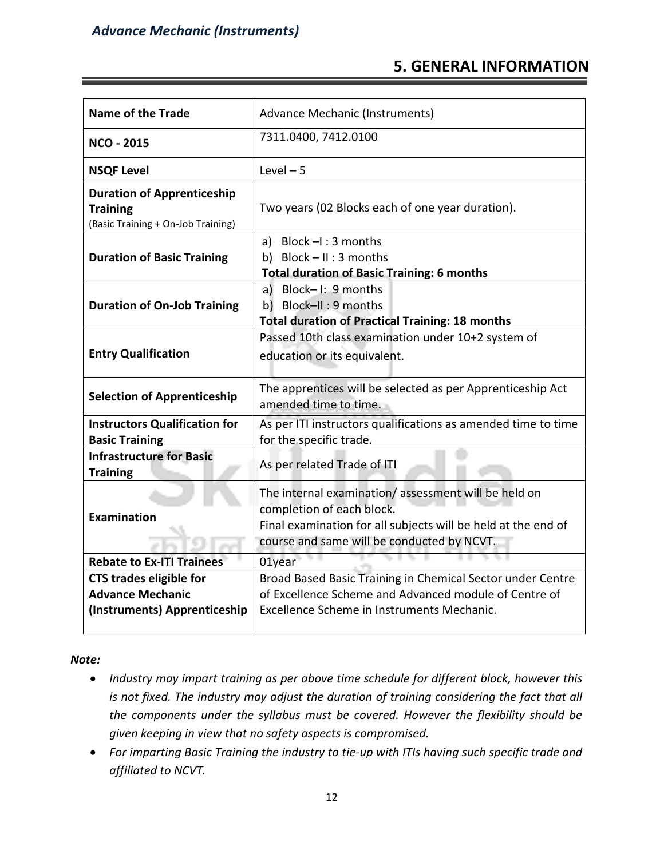#### **5. GENERAL INFORMATION**

| <b>Name of the Trade</b>                                                                   | Advance Mechanic (Instruments)                                                                                                                                                                  |  |  |
|--------------------------------------------------------------------------------------------|-------------------------------------------------------------------------------------------------------------------------------------------------------------------------------------------------|--|--|
| <b>NCO - 2015</b>                                                                          | 7311.0400, 7412.0100                                                                                                                                                                            |  |  |
| <b>NSQF Level</b>                                                                          | Level $-5$                                                                                                                                                                                      |  |  |
| <b>Duration of Apprenticeship</b><br><b>Training</b><br>(Basic Training + On-Job Training) | Two years (02 Blocks each of one year duration).                                                                                                                                                |  |  |
| <b>Duration of Basic Training</b>                                                          | a) Block $-I$ : 3 months<br>b) Block $- II : 3$ months<br><b>Total duration of Basic Training: 6 months</b>                                                                                     |  |  |
| <b>Duration of On-Job Training</b>                                                         | a) Block-I: 9 months<br>b) Block-II: 9 months<br><b>Total duration of Practical Training: 18 months</b>                                                                                         |  |  |
| <b>Entry Qualification</b>                                                                 | Passed 10th class examination under 10+2 system of<br>education or its equivalent.                                                                                                              |  |  |
| <b>Selection of Apprenticeship</b>                                                         | The apprentices will be selected as per Apprenticeship Act<br>amended time to time.                                                                                                             |  |  |
| <b>Instructors Qualification for</b><br><b>Basic Training</b>                              | As per ITI instructors qualifications as amended time to time<br>for the specific trade.                                                                                                        |  |  |
| <b>Infrastructure for Basic</b><br><b>Training</b>                                         | As per related Trade of ITI                                                                                                                                                                     |  |  |
| <b>Examination</b>                                                                         | The internal examination/assessment will be held on<br>completion of each block.<br>Final examination for all subjects will be held at the end of<br>course and same will be conducted by NCVT. |  |  |
| <b>Rebate to Ex-ITI Trainees</b>                                                           | 01year                                                                                                                                                                                          |  |  |
| <b>CTS trades eligible for</b><br><b>Advance Mechanic</b><br>(Instruments) Apprenticeship  | Broad Based Basic Training in Chemical Sector under Centre<br>of Excellence Scheme and Advanced module of Centre of<br>Excellence Scheme in Instruments Mechanic.                               |  |  |

*Note:*

- *Industry may impart training as per above time schedule for different block, however this is not fixed. The industry may adjust the duration of training considering the fact that all the components under the syllabus must be covered. However the flexibility should be given keeping in view that no safety aspects is compromised.*
- *For imparting Basic Training the industry to tie-up with ITIs having such specific trade and affiliated to NCVT.*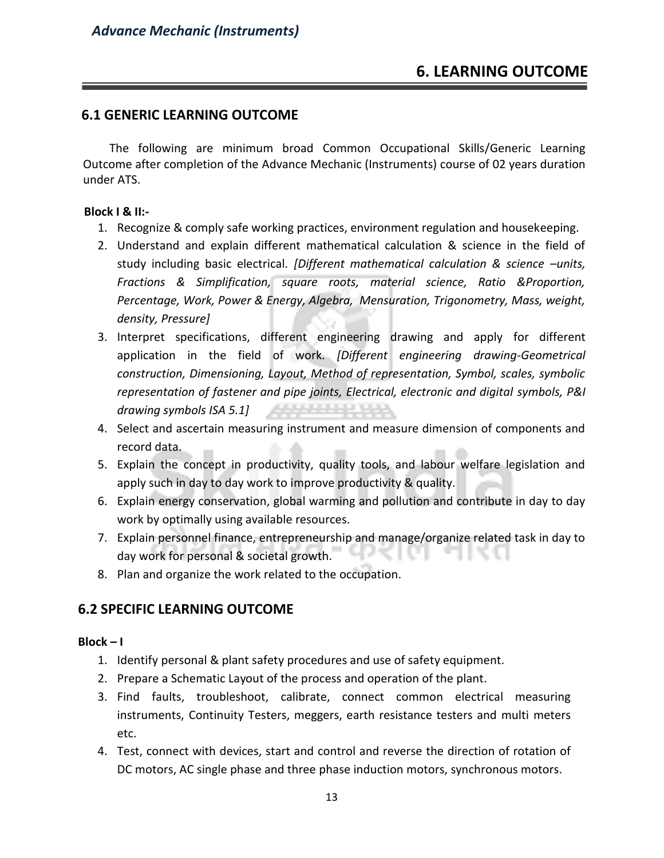#### **6. LEARNING OUTCOME**

#### **6.1 GENERIC LEARNING OUTCOME**

 The following are minimum broad Common Occupational Skills/Generic Learning Outcome after completion of the Advance Mechanic (Instruments) course of 02 years duration under ATS.

#### **Block I & II:-**

- 1. Recognize & comply safe working practices, environment regulation and housekeeping.
- 2. Understand and explain different mathematical calculation & science in the field of study including basic electrical. *[Different mathematical calculation & science –units, Fractions & Simplification, square roots, material science, Ratio &Proportion, Percentage, Work, Power & Energy, Algebra, Mensuration, Trigonometry, Mass, weight, density, Pressure]*
- 3. Interpret specifications, different engineering drawing and apply for different application in the field of work. *[Different engineering drawing-Geometrical construction, Dimensioning, Layout, Method of representation, Symbol, scales, symbolic representation of fastener and pipe joints, Electrical, electronic and digital symbols, P&I drawing symbols ISA 5.1]*
- 4. Select and ascertain measuring instrument and measure dimension of components and record data.
- 5. Explain the concept in productivity, quality tools, and labour welfare legislation and apply such in day to day work to improve productivity & quality.
- 6. Explain energy conservation, global warming and pollution and contribute in day to day work by optimally using available resources.
- 7. Explain personnel finance, entrepreneurship and manage/organize related task in day to day work for personal & societal growth.
- 8. Plan and organize the work related to the occupation.

#### **6.2 SPECIFIC LEARNING OUTCOME**

#### **Block – I**

- 1. Identify personal & plant safety procedures and use of safety equipment.
- 2. Prepare a Schematic Layout of the process and operation of the plant.
- 3. Find faults, troubleshoot, calibrate, connect common electrical measuring instruments, Continuity Testers, meggers, earth resistance testers and multi meters etc.
- 4. Test, connect with devices, start and control and reverse the direction of rotation of DC motors, AC single phase and three phase induction motors, synchronous motors.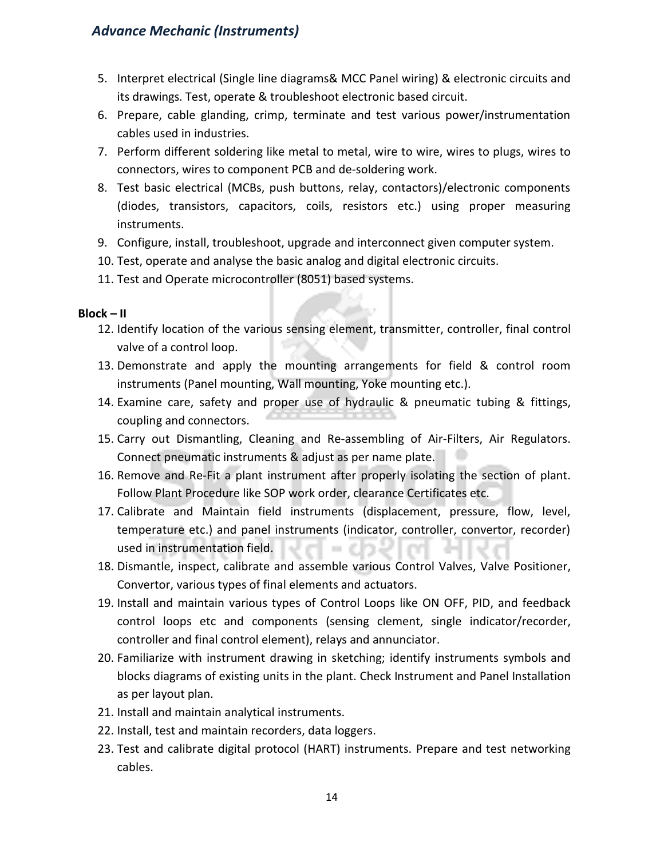- 5. Interpret electrical (Single line diagrams& MCC Panel wiring) & electronic circuits and its drawings. Test, operate & troubleshoot electronic based circuit.
- 6. Prepare, cable glanding, crimp, terminate and test various power/instrumentation cables used in industries.
- 7. Perform different soldering like metal to metal, wire to wire, wires to plugs, wires to connectors, wires to component PCB and de-soldering work.
- 8. Test basic electrical (MCBs, push buttons, relay, contactors)/electronic components (diodes, transistors, capacitors, coils, resistors etc.) using proper measuring instruments.
- 9. Configure, install, troubleshoot, upgrade and interconnect given computer system.
- 10. Test, operate and analyse the basic analog and digital electronic circuits.
- 11. Test and Operate microcontroller (8051) based systems.

#### **Block – II**

- 12. Identify location of the various sensing element, transmitter, controller, final control valve of a control loop.
- 13. Demonstrate and apply the mounting arrangements for field & control room instruments (Panel mounting, Wall mounting, Yoke mounting etc.).
- 14. Examine care, safety and proper use of hydraulic & pneumatic tubing & fittings, coupling and connectors.
- 15. Carry out Dismantling, Cleaning and Re-assembling of Air-Filters, Air Regulators. Connect pneumatic instruments & adjust as per name plate.
- 16. Remove and Re-Fit a plant instrument after properly isolating the section of plant. Follow Plant Procedure like SOP work order, clearance Certificates etc.
- 17. Calibrate and Maintain field instruments (displacement, pressure, flow, level, temperature etc.) and panel instruments (indicator, controller, convertor, recorder) used in instrumentation field.
- 18. Dismantle, inspect, calibrate and assemble various Control Valves, Valve Positioner, Convertor, various types of final elements and actuators.
- 19. Install and maintain various types of Control Loops like ON OFF, PID, and feedback control loops etc and components (sensing clement, single indicator/recorder, controller and final control element), relays and annunciator.
- 20. Familiarize with instrument drawing in sketching; identify instruments symbols and blocks diagrams of existing units in the plant. Check Instrument and Panel Installation as per layout plan.
- 21. Install and maintain analytical instruments.
- 22. Install, test and maintain recorders, data loggers.
- 23. Test and calibrate digital protocol (HART) instruments. Prepare and test networking cables.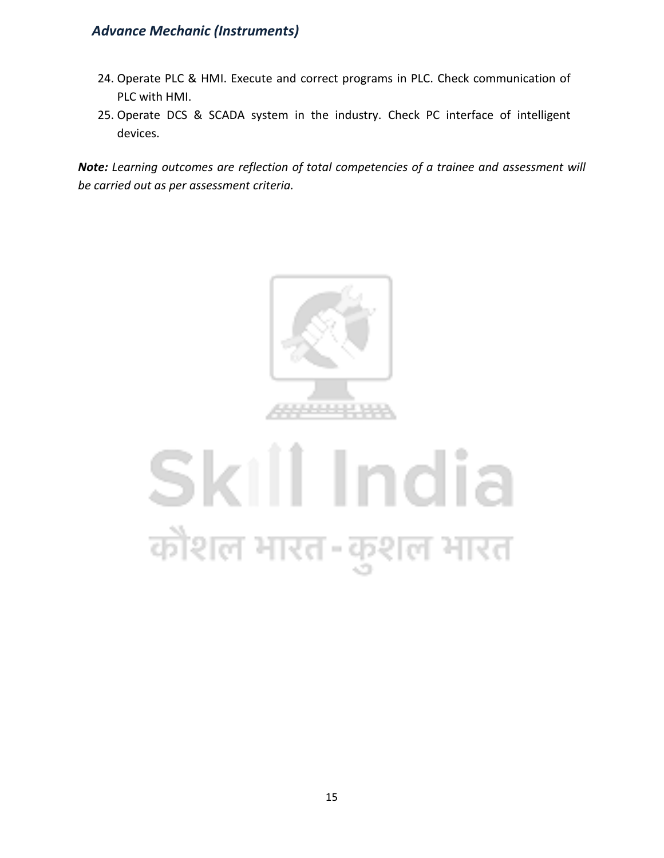- 24. Operate PLC & HMI. Execute and correct programs in PLC. Check communication of PLC with HMI.
- 25. Operate DCS & SCADA system in the industry. Check PC interface of intelligent devices.

*Note: Learning outcomes are reflection of total competencies of a trainee and assessment will be carried out as per assessment criteria.*



## Skill India कौशल भारत-कुशल भारत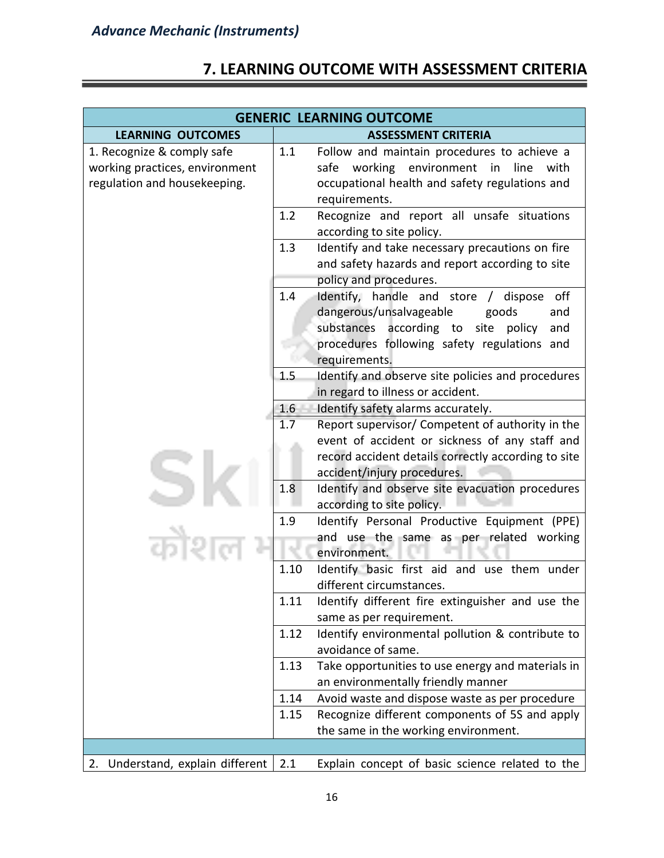#### **7. LEARNING OUTCOME WITH ASSESSMENT CRITERIA**

| <b>GENERIC LEARNING OUTCOME</b>                                                              |      |                                                                                                                                                                                          |  |
|----------------------------------------------------------------------------------------------|------|------------------------------------------------------------------------------------------------------------------------------------------------------------------------------------------|--|
| <b>LEARNING OUTCOMES</b>                                                                     |      | <b>ASSESSMENT CRITERIA</b>                                                                                                                                                               |  |
| 1. Recognize & comply safe<br>working practices, environment<br>regulation and housekeeping. | 1.1  | Follow and maintain procedures to achieve a<br>working environment<br>line<br>safe<br>in<br>with<br>occupational health and safety regulations and<br>requirements.                      |  |
|                                                                                              | 1.2  | Recognize and report all unsafe situations<br>according to site policy.                                                                                                                  |  |
|                                                                                              | 1.3  | Identify and take necessary precautions on fire<br>and safety hazards and report according to site<br>policy and procedures.                                                             |  |
|                                                                                              | 1.4  | Identify, handle and store /<br>dispose off<br>dangerous/unsalvageable<br>goods<br>and<br>substances according to site<br>policy<br>and<br>procedures following safety regulations and   |  |
|                                                                                              | 1.5  | requirements.<br>Identify and observe site policies and procedures<br>in regard to illness or accident.                                                                                  |  |
|                                                                                              | 1.6  | Identify safety alarms accurately.                                                                                                                                                       |  |
|                                                                                              | 1.7  | Report supervisor/ Competent of authority in the<br>event of accident or sickness of any staff and<br>record accident details correctly according to site<br>accident/injury procedures. |  |
|                                                                                              | 1.8  | Identify and observe site evacuation procedures<br>according to site policy.                                                                                                             |  |
|                                                                                              | 1.9  | Identify Personal Productive Equipment (PPE)<br>and use the same as per related working<br>environment.                                                                                  |  |
|                                                                                              | 1.10 | Identify basic first aid and use them under<br>different circumstances.                                                                                                                  |  |
|                                                                                              | 1.11 | Identify different fire extinguisher and use the<br>same as per requirement.                                                                                                             |  |
|                                                                                              | 1.12 | Identify environmental pollution & contribute to<br>avoidance of same.                                                                                                                   |  |
|                                                                                              | 1.13 | Take opportunities to use energy and materials in<br>an environmentally friendly manner                                                                                                  |  |
|                                                                                              | 1.14 | Avoid waste and dispose waste as per procedure                                                                                                                                           |  |
|                                                                                              | 1.15 | Recognize different components of 5S and apply                                                                                                                                           |  |
|                                                                                              |      | the same in the working environment.                                                                                                                                                     |  |
|                                                                                              |      |                                                                                                                                                                                          |  |
| 2. Understand, explain different                                                             | 2.1  | Explain concept of basic science related to the                                                                                                                                          |  |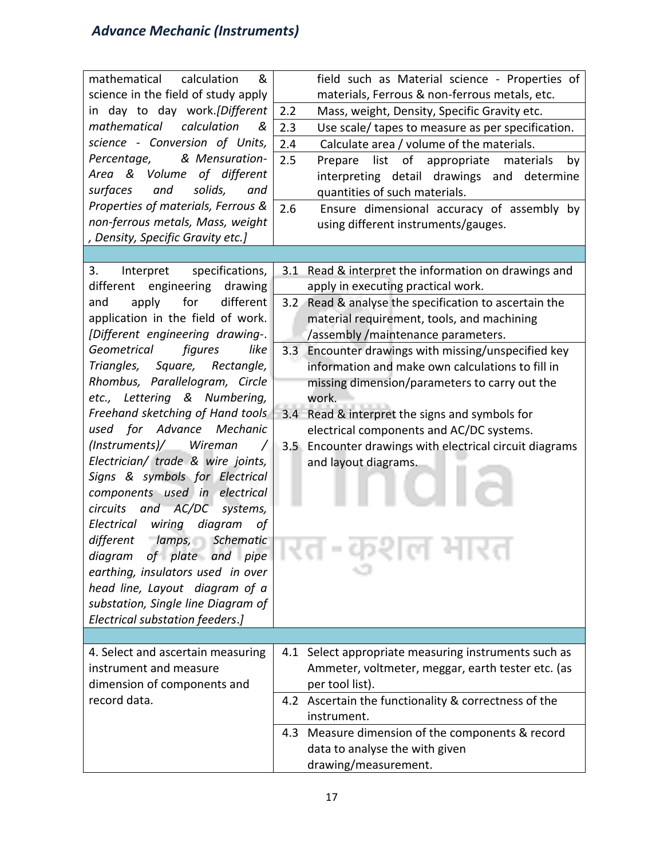| mathematical calculation<br>&<br>science in the field of study apply<br>in day to day work.[Different<br>mathematical<br>calculation<br>&<br>science - Conversion of Units,<br>& Mensuration-<br>Percentage,<br>Area & Volume of different<br>solids,<br>surfaces<br>and<br>and<br>Properties of materials, Ferrous &<br>non-ferrous metals, Mass, weight<br>, Density, Specific Gravity etc.] | field such as Material science - Properties of<br>materials, Ferrous & non-ferrous metals, etc.<br>Mass, weight, Density, Specific Gravity etc.<br>2.2<br>2.3<br>Use scale/ tapes to measure as per specification.<br>2.4<br>Calculate area / volume of the materials.<br>2.5<br>list of appropriate<br>Prepare<br>materials<br>by<br>interpreting detail drawings and determine<br>quantities of such materials.<br>2.6<br>Ensure dimensional accuracy of assembly by<br>using different instruments/gauges. |
|------------------------------------------------------------------------------------------------------------------------------------------------------------------------------------------------------------------------------------------------------------------------------------------------------------------------------------------------------------------------------------------------|---------------------------------------------------------------------------------------------------------------------------------------------------------------------------------------------------------------------------------------------------------------------------------------------------------------------------------------------------------------------------------------------------------------------------------------------------------------------------------------------------------------|
|                                                                                                                                                                                                                                                                                                                                                                                                |                                                                                                                                                                                                                                                                                                                                                                                                                                                                                                               |
| 3.<br>Interpret<br>specifications,                                                                                                                                                                                                                                                                                                                                                             | Read & interpret the information on drawings and<br>3.1                                                                                                                                                                                                                                                                                                                                                                                                                                                       |
| different engineering<br>drawing<br>apply<br>for<br>different<br>and                                                                                                                                                                                                                                                                                                                           | apply in executing practical work.                                                                                                                                                                                                                                                                                                                                                                                                                                                                            |
| application in the field of work.                                                                                                                                                                                                                                                                                                                                                              | Read & analyse the specification to ascertain the<br>3.2<br>material requirement, tools, and machining                                                                                                                                                                                                                                                                                                                                                                                                        |
| [Different engineering drawing-.                                                                                                                                                                                                                                                                                                                                                               | /assembly /maintenance parameters.                                                                                                                                                                                                                                                                                                                                                                                                                                                                            |
| figures<br>like<br>Geometrical                                                                                                                                                                                                                                                                                                                                                                 | Encounter drawings with missing/unspecified key<br>3.3                                                                                                                                                                                                                                                                                                                                                                                                                                                        |
| Triangles, Square,<br>Rectangle,                                                                                                                                                                                                                                                                                                                                                               | information and make own calculations to fill in                                                                                                                                                                                                                                                                                                                                                                                                                                                              |
| Rhombus, Parallelogram, Circle                                                                                                                                                                                                                                                                                                                                                                 | missing dimension/parameters to carry out the                                                                                                                                                                                                                                                                                                                                                                                                                                                                 |
| etc., Lettering & Numbering,                                                                                                                                                                                                                                                                                                                                                                   | work.                                                                                                                                                                                                                                                                                                                                                                                                                                                                                                         |
| Freehand sketching of Hand tools                                                                                                                                                                                                                                                                                                                                                               | 3.4 Read & interpret the signs and symbols for                                                                                                                                                                                                                                                                                                                                                                                                                                                                |
| used for Advance Mechanic                                                                                                                                                                                                                                                                                                                                                                      | electrical components and AC/DC systems.                                                                                                                                                                                                                                                                                                                                                                                                                                                                      |
| (Instruments)/ Wireman<br>Electrician/ trade & wire joints,                                                                                                                                                                                                                                                                                                                                    | 3.5 Encounter drawings with electrical circuit diagrams                                                                                                                                                                                                                                                                                                                                                                                                                                                       |
| Signs & symbols for Electrical                                                                                                                                                                                                                                                                                                                                                                 | and layout diagrams.                                                                                                                                                                                                                                                                                                                                                                                                                                                                                          |
| components used in electrical                                                                                                                                                                                                                                                                                                                                                                  |                                                                                                                                                                                                                                                                                                                                                                                                                                                                                                               |
| circuits and AC/DC<br>systems,                                                                                                                                                                                                                                                                                                                                                                 |                                                                                                                                                                                                                                                                                                                                                                                                                                                                                                               |
| wiring<br>diagram<br>Electrical<br>οf                                                                                                                                                                                                                                                                                                                                                          |                                                                                                                                                                                                                                                                                                                                                                                                                                                                                                               |
| different<br>lamps, Schematic                                                                                                                                                                                                                                                                                                                                                                  |                                                                                                                                                                                                                                                                                                                                                                                                                                                                                                               |
| diagram of plate and pipe                                                                                                                                                                                                                                                                                                                                                                      |                                                                                                                                                                                                                                                                                                                                                                                                                                                                                                               |
| earthing, insulators used in over                                                                                                                                                                                                                                                                                                                                                              |                                                                                                                                                                                                                                                                                                                                                                                                                                                                                                               |
| head line, Layout diagram of a<br>substation, Single line Diagram of                                                                                                                                                                                                                                                                                                                           |                                                                                                                                                                                                                                                                                                                                                                                                                                                                                                               |
| Electrical substation feeders.]                                                                                                                                                                                                                                                                                                                                                                |                                                                                                                                                                                                                                                                                                                                                                                                                                                                                                               |
|                                                                                                                                                                                                                                                                                                                                                                                                |                                                                                                                                                                                                                                                                                                                                                                                                                                                                                                               |
| 4. Select and ascertain measuring                                                                                                                                                                                                                                                                                                                                                              | 4.1 Select appropriate measuring instruments such as                                                                                                                                                                                                                                                                                                                                                                                                                                                          |
| instrument and measure                                                                                                                                                                                                                                                                                                                                                                         | Ammeter, voltmeter, meggar, earth tester etc. (as                                                                                                                                                                                                                                                                                                                                                                                                                                                             |
| dimension of components and                                                                                                                                                                                                                                                                                                                                                                    | per tool list).                                                                                                                                                                                                                                                                                                                                                                                                                                                                                               |
| record data.                                                                                                                                                                                                                                                                                                                                                                                   | 4.2 Ascertain the functionality & correctness of the                                                                                                                                                                                                                                                                                                                                                                                                                                                          |
|                                                                                                                                                                                                                                                                                                                                                                                                | instrument.                                                                                                                                                                                                                                                                                                                                                                                                                                                                                                   |
|                                                                                                                                                                                                                                                                                                                                                                                                | 4.3 Measure dimension of the components & record                                                                                                                                                                                                                                                                                                                                                                                                                                                              |
|                                                                                                                                                                                                                                                                                                                                                                                                | data to analyse the with given                                                                                                                                                                                                                                                                                                                                                                                                                                                                                |
|                                                                                                                                                                                                                                                                                                                                                                                                | drawing/measurement.                                                                                                                                                                                                                                                                                                                                                                                                                                                                                          |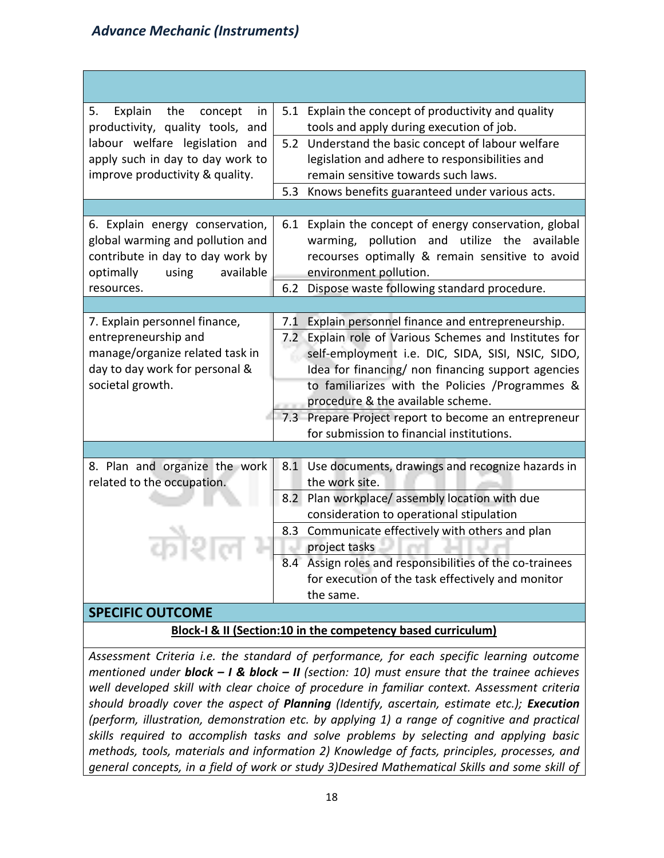| Explain the concept<br>5.<br>in                                   |     | 5.1 Explain the concept of productivity and quality                          |
|-------------------------------------------------------------------|-----|------------------------------------------------------------------------------|
| productivity, quality tools, and                                  |     | tools and apply during execution of job.                                     |
| labour welfare legislation and                                    | 5.2 | Understand the basic concept of labour welfare                               |
| apply such in day to day work to                                  |     | legislation and adhere to responsibilities and                               |
| improve productivity & quality.                                   |     | remain sensitive towards such laws.                                          |
|                                                                   | 5.3 | Knows benefits guaranteed under various acts.                                |
|                                                                   |     |                                                                              |
| 6. Explain energy conservation,                                   | 6.1 | Explain the concept of energy conservation, global                           |
| global warming and pollution and                                  |     | pollution and utilize the<br>available<br>warming,                           |
| contribute in day to day work by                                  |     | recourses optimally & remain sensitive to avoid                              |
| optimally<br>available<br>using                                   |     | environment pollution.                                                       |
| resources.                                                        | 6.2 | Dispose waste following standard procedure.                                  |
|                                                                   |     |                                                                              |
| 7. Explain personnel finance,                                     | 7.1 | Explain personnel finance and entrepreneurship.                              |
| entrepreneurship and                                              |     | 7.2 Explain role of Various Schemes and Institutes for                       |
| manage/organize related task in<br>day to day work for personal & |     | self-employment i.e. DIC, SIDA, SISI, NSIC, SIDO,                            |
|                                                                   |     | Idea for financing/ non financing support agencies                           |
| societal growth.                                                  |     | to familiarizes with the Policies /Programmes &                              |
|                                                                   |     | procedure & the available scheme.                                            |
|                                                                   |     | 7.3 Prepare Project report to become an entrepreneur                         |
|                                                                   |     | for submission to financial institutions.                                    |
|                                                                   |     |                                                                              |
| 8. Plan and organize the work                                     |     | 8.1 Use documents, drawings and recognize hazards in                         |
| related to the occupation.                                        |     | the work site.                                                               |
|                                                                   | 8.2 | Plan workplace/ assembly location with due                                   |
| कौशल                                                              |     | consideration to operational stipulation                                     |
|                                                                   |     | 8.3 Communicate effectively with others and plan<br>project tasks<br>/lon_et |
|                                                                   |     | 8.4 Assign roles and responsibilities of the co-trainees                     |
|                                                                   |     | for execution of the task effectively and monitor                            |
|                                                                   |     | the same.                                                                    |
| CDECIEIC OLITCOME                                                 |     |                                                                              |

#### **SPECIFIC OUTCOME**

#### **Block-I & II (Section:10 in the competency based curriculum)**

*Assessment Criteria i.e. the standard of performance, for each specific learning outcome mentioned under block – I & block – II (section: 10) must ensure that the trainee achieves well developed skill with clear choice of procedure in familiar context. Assessment criteria should broadly cover the aspect of Planning (Identify, ascertain, estimate etc.); Execution (perform, illustration, demonstration etc. by applying 1) a range of cognitive and practical skills required to accomplish tasks and solve problems by selecting and applying basic methods, tools, materials and information 2) Knowledge of facts, principles, processes, and general concepts, in a field of work or study 3)Desired Mathematical Skills and some skill of*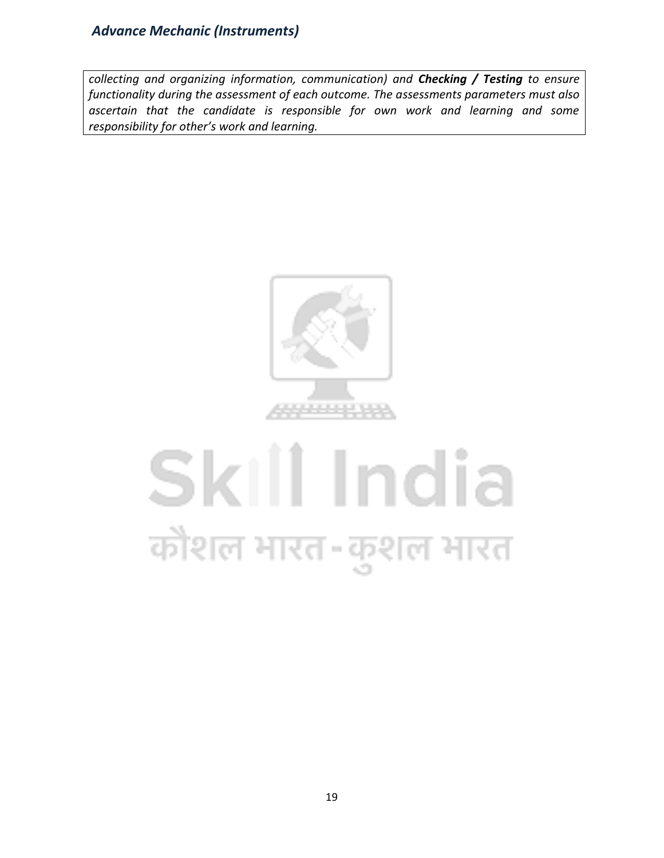*collecting and organizing information, communication) and Checking / Testing to ensure functionality during the assessment of each outcome. The assessments parameters must also ascertain that the candidate is responsible for own work and learning and some responsibility for other's work and learning.*



## Skill India कोशल भारत-कुशल भारत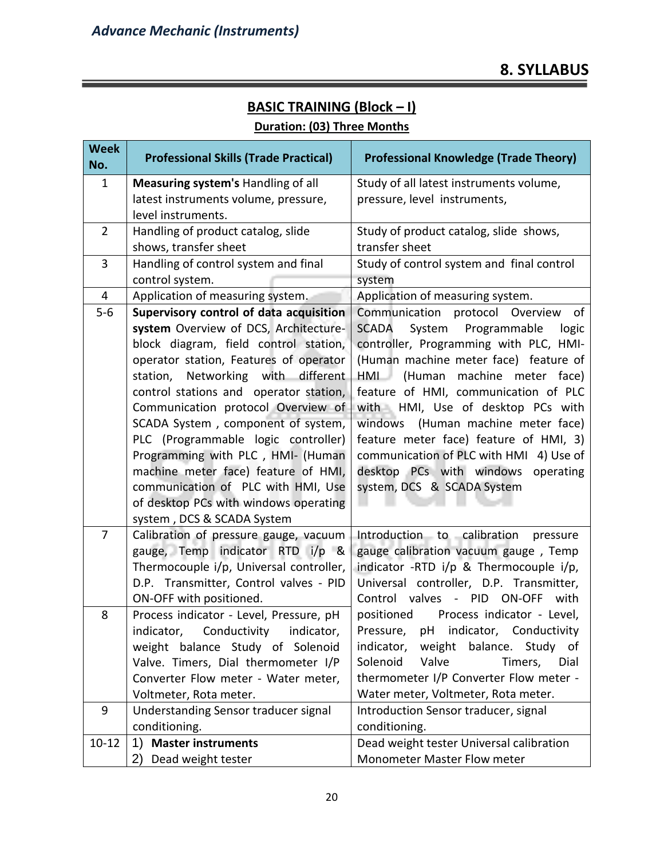### **BASIC TRAINING (Block – I)**

#### **Duration: (03) Three Months**

| <b>Week</b><br>No. | <b>Professional Skills (Trade Practical)</b>                             | <b>Professional Knowledge (Trade Theory)</b>                                   |  |  |
|--------------------|--------------------------------------------------------------------------|--------------------------------------------------------------------------------|--|--|
| 1                  | Measuring system's Handling of all                                       | Study of all latest instruments volume,                                        |  |  |
|                    | latest instruments volume, pressure,                                     | pressure, level instruments,                                                   |  |  |
|                    | level instruments.                                                       |                                                                                |  |  |
| $\overline{2}$     | Handling of product catalog, slide                                       | Study of product catalog, slide shows,                                         |  |  |
|                    | shows, transfer sheet                                                    | transfer sheet                                                                 |  |  |
| 3                  | Handling of control system and final                                     | Study of control system and final control                                      |  |  |
|                    | control system.                                                          | system                                                                         |  |  |
| 4                  | Application of measuring system.                                         | Application of measuring system.                                               |  |  |
| $5-6$              | Supervisory control of data acquisition                                  | Communication protocol Overview<br>of                                          |  |  |
|                    | system Overview of DCS, Architecture-                                    | System<br>Programmable<br>SCADA<br>logic                                       |  |  |
|                    | block diagram, field control station,                                    | controller, Programming with PLC, HMI-                                         |  |  |
|                    | operator station, Features of operator                                   | (Human machine meter face) feature of                                          |  |  |
|                    | station, Networking with different                                       | HML (Human machine meter face)                                                 |  |  |
|                    | control stations and operator station,                                   | feature of HMI, communication of PLC                                           |  |  |
|                    | Communication protocol Overview of                                       | with HMI, Use of desktop PCs with                                              |  |  |
|                    | SCADA System, component of system,                                       | windows (Human machine meter face)                                             |  |  |
|                    | PLC (Programmable logic controller)                                      | feature meter face) feature of HMI, 3)                                         |  |  |
|                    | Programming with PLC, HMI- (Human                                        | communication of PLC with HMI 4) Use of                                        |  |  |
|                    | machine meter face) feature of HMI,                                      | desktop PCs with windows operating                                             |  |  |
|                    | communication of PLC with HMI, Use                                       | system, DCS & SCADA System                                                     |  |  |
|                    | of desktop PCs with windows operating                                    |                                                                                |  |  |
| $\overline{7}$     | system, DCS & SCADA System                                               |                                                                                |  |  |
|                    | Calibration of pressure gauge, vacuum<br>gauge, Temp indicator RTD i/p & | Introduction to calibration pressure                                           |  |  |
|                    | Thermocouple i/p, Universal controller,                                  | gauge calibration vacuum gauge, Temp<br>indicator -RTD i/p & Thermocouple i/p, |  |  |
|                    | D.P. Transmitter, Control valves - PID                                   | Universal controller, D.P. Transmitter,                                        |  |  |
|                    | ON-OFF with positioned.                                                  | Control valves - PID ON-OFF<br>with                                            |  |  |
| 8                  | Process indicator - Level, Pressure, pH                                  | positioned<br>Process indicator - Level,                                       |  |  |
|                    | indicator, Conductivity indicator,                                       | Pressure, pH indicator, Conductivity                                           |  |  |
|                    | weight balance Study of Solenoid                                         | indicator,<br>weight<br>balance. Study<br>of                                   |  |  |
|                    | Valve. Timers, Dial thermometer I/P                                      | Solenoid<br>Valve<br>Dial<br>Timers,                                           |  |  |
|                    | Converter Flow meter - Water meter,                                      | thermometer I/P Converter Flow meter -                                         |  |  |
|                    | Voltmeter, Rota meter.                                                   | Water meter, Voltmeter, Rota meter.                                            |  |  |
| 9                  | Understanding Sensor traducer signal                                     | Introduction Sensor traducer, signal                                           |  |  |
|                    | conditioning.                                                            | conditioning.                                                                  |  |  |
| $10 - 12$          | <b>Master instruments</b><br>1)                                          | Dead weight tester Universal calibration                                       |  |  |
|                    | Dead weight tester<br>2)                                                 | Monometer Master Flow meter                                                    |  |  |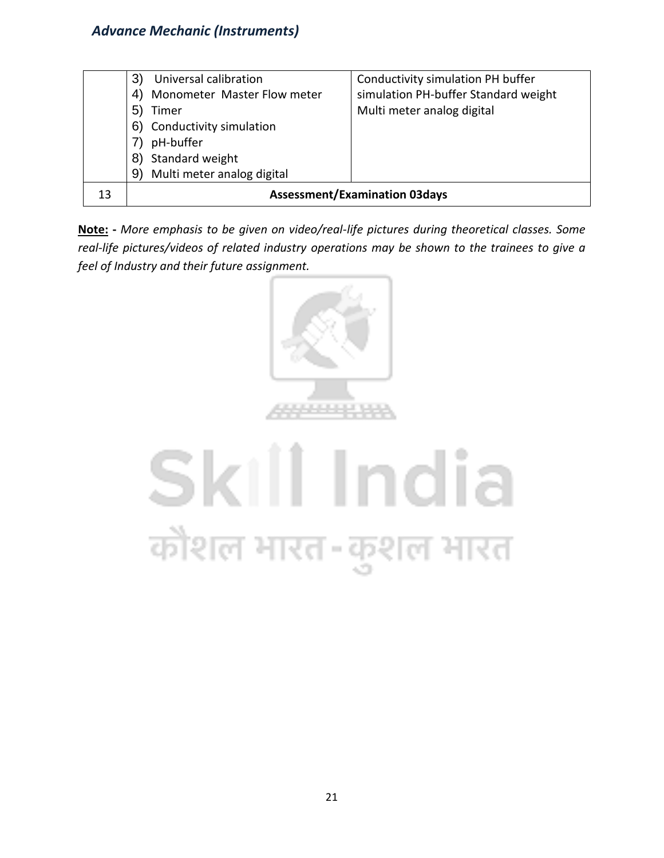|    | Universal calibration<br>3'          | Conductivity simulation PH buffer    |  |
|----|--------------------------------------|--------------------------------------|--|
|    | Monometer Master Flow meter<br>4)    | simulation PH-buffer Standard weight |  |
|    | 5<br>Timer                           | Multi meter analog digital           |  |
|    | Conductivity simulation<br>6)        |                                      |  |
|    | pH-buffer                            |                                      |  |
|    | Standard weight<br>8)                |                                      |  |
|    | Multi meter analog digital<br>9      |                                      |  |
| 13 | <b>Assessment/Examination 03days</b> |                                      |  |

**Note: -** *More emphasis to be given on video/real-life pictures during theoretical classes. Some real-life pictures/videos of related industry operations may be shown to the trainees to give a feel of Industry and their future assignment.*



## Skill India कोशल भारत-कुशल भारत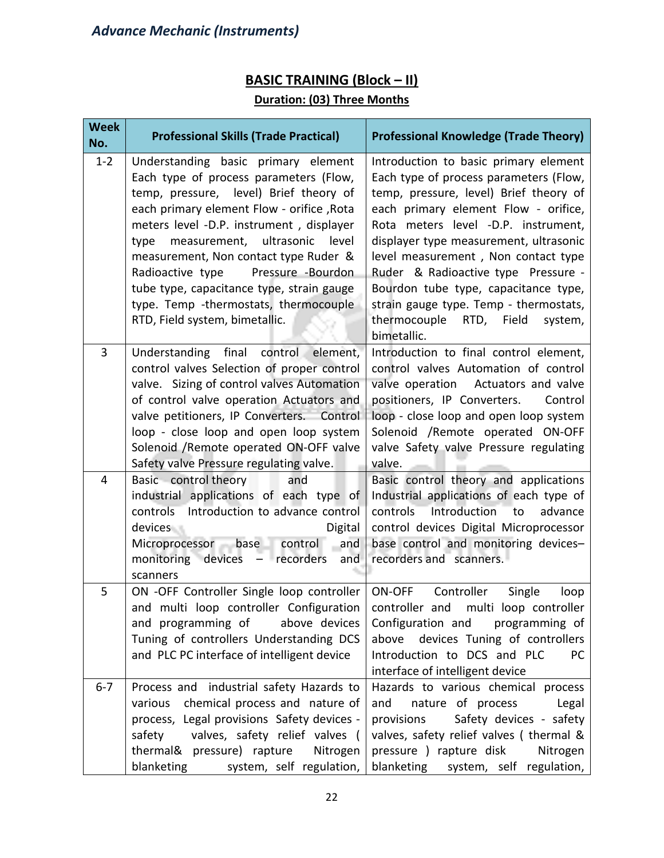#### **BASIC TRAINING (Block – II)**

#### **Duration: (03) Three Months**

| <b>Week</b><br>No. | <b>Professional Skills (Trade Practical)</b>                                                                                                                                                                                                                                                                                                                                                                                                                        | <b>Professional Knowledge (Trade Theory)</b>                                                                                                                                                                                                                                                                                                                                                                                                                               |
|--------------------|---------------------------------------------------------------------------------------------------------------------------------------------------------------------------------------------------------------------------------------------------------------------------------------------------------------------------------------------------------------------------------------------------------------------------------------------------------------------|----------------------------------------------------------------------------------------------------------------------------------------------------------------------------------------------------------------------------------------------------------------------------------------------------------------------------------------------------------------------------------------------------------------------------------------------------------------------------|
| $1 - 2$            | Understanding basic primary element<br>Each type of process parameters (Flow,<br>temp, pressure, level) Brief theory of<br>each primary element Flow - orifice, Rota<br>meters level -D.P. instrument, displayer<br>measurement, ultrasonic level<br>type<br>measurement, Non contact type Ruder &<br>Pressure -Bourdon<br>Radioactive type<br>tube type, capacitance type, strain gauge<br>type. Temp -thermostats, thermocouple<br>RTD, Field system, bimetallic. | Introduction to basic primary element<br>Each type of process parameters (Flow,<br>temp, pressure, level) Brief theory of<br>each primary element Flow - orifice,<br>Rota meters level -D.P. instrument,<br>displayer type measurement, ultrasonic<br>level measurement, Non contact type<br>Ruder & Radioactive type Pressure -<br>Bourdon tube type, capacitance type,<br>strain gauge type. Temp - thermostats,<br>thermocouple<br>RTD, Field<br>system,<br>bimetallic. |
| 3                  | Understanding final control element,<br>control valves Selection of proper control<br>valve. Sizing of control valves Automation<br>of control valve operation Actuators and<br>valve petitioners, IP Converters. Control<br>loop - close loop and open loop system<br>Solenoid / Remote operated ON-OFF valve<br>Safety valve Pressure regulating valve.                                                                                                           | Introduction to final control element,<br>control valves Automation of control<br>valve operation Actuators and valve<br>positioners, IP Converters.<br>Control<br>loop - close loop and open loop system<br>Solenoid /Remote operated ON-OFF<br>valve Safety valve Pressure regulating<br>valve.                                                                                                                                                                          |
| 4                  | Basic control theory<br>and<br>industrial applications of each type of<br>controls Introduction to advance control<br>devices<br>Digital<br>Microprocessor base control<br>and<br>monitoring devices<br>- recorders<br>and<br>scanners                                                                                                                                                                                                                              | Basic control theory and applications<br>Industrial applications of each type of<br><b>Introduction</b><br>controls<br>advance<br>to<br>control devices Digital Microprocessor<br>base control and monitoring devices-<br>recorders and scanners.                                                                                                                                                                                                                          |
| 5                  | ON -OFF Controller Single loop controller<br>and multi loop controller Configuration   controller and multi loop controller<br>and programming of<br>above devices<br>Tuning of controllers Understanding DCS<br>and PLC PC interface of intelligent device                                                                                                                                                                                                         | Controller<br>ON-OFF<br>Single<br>loop<br>Configuration and programming of<br>above devices Tuning of controllers<br>Introduction to DCS and PLC<br><b>PC</b><br>interface of intelligent device                                                                                                                                                                                                                                                                           |
| $6 - 7$            | Process and industrial safety Hazards to<br>chemical process and nature of<br>various<br>process, Legal provisions Safety devices -<br>valves, safety relief valves (<br>safety<br>thermal& pressure) rapture<br>Nitrogen<br>blanketing<br>system, self regulation,                                                                                                                                                                                                 | Hazards to various chemical process<br>nature of process<br>and<br>Legal<br>Safety devices - safety<br>provisions<br>valves, safety relief valves (thermal &<br>pressure ) rapture disk<br>Nitrogen<br>blanketing<br>system, self regulation,                                                                                                                                                                                                                              |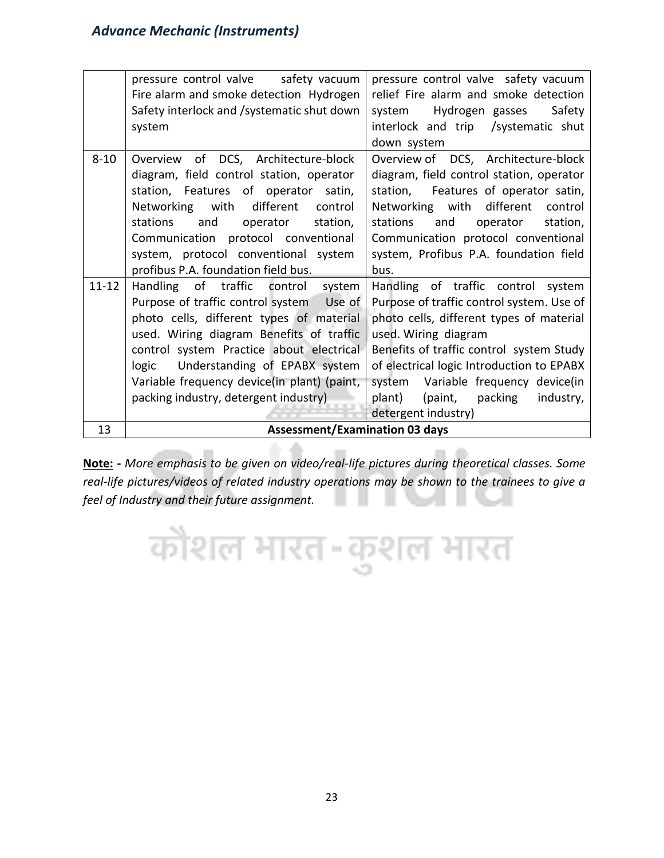|           | pressure control valve safety vacuum        | pressure control valve safety vacuum      |
|-----------|---------------------------------------------|-------------------------------------------|
|           | Fire alarm and smoke detection Hydrogen     | relief Fire alarm and smoke detection     |
|           | Safety interlock and /systematic shut down  | Hydrogen gasses<br>Safety<br>system       |
|           | system                                      | interlock and trip /systematic shut       |
|           |                                             | down system                               |
| $8 - 10$  | of DCS, Architecture-block<br>Overview      | Overview of DCS, Architecture-block       |
|           | diagram, field control station, operator    | diagram, field control station, operator  |
|           | station, Features of operator satin,        | station, Features of operator satin,      |
|           | different<br>Networking with<br>control     | Networking with different<br>control      |
|           | stations<br>station,<br>and<br>operator     | stations<br>and<br>operator<br>station,   |
|           | Communication protocol conventional         | Communication protocol conventional       |
|           | system, protocol conventional system        | system, Profibus P.A. foundation field    |
|           | profibus P.A. foundation field bus.         | bus.                                      |
| $11 - 12$ | Handling of traffic control system          | Handling of traffic control system        |
|           | Purpose of traffic control system Use of    | Purpose of traffic control system. Use of |
|           | photo cells, different types of material    | photo cells, different types of material  |
|           | used. Wiring diagram Benefits of traffic    | used. Wiring diagram                      |
|           | control system Practice about electrical    | Benefits of traffic control system Study  |
|           | Understanding of EPABX system<br>logic      | of electrical logic Introduction to EPABX |
|           | Variable frequency device(in plant) (paint, | Variable frequency device(in<br>system    |
|           | packing industry, detergent industry)       | plant)<br>(paint,<br>packing<br>industry, |
|           |                                             | detergent industry)                       |
| 13        | <b>Assessment/Examination 03 days</b>       |                                           |

**Note: -** *More emphasis to be given on video/real-life pictures during theoretical classes. Some real-life pictures/videos of related industry operations may be shown to the trainees to give a feel of Industry and their future assignment.*

कोशल भारत-कुशल भारत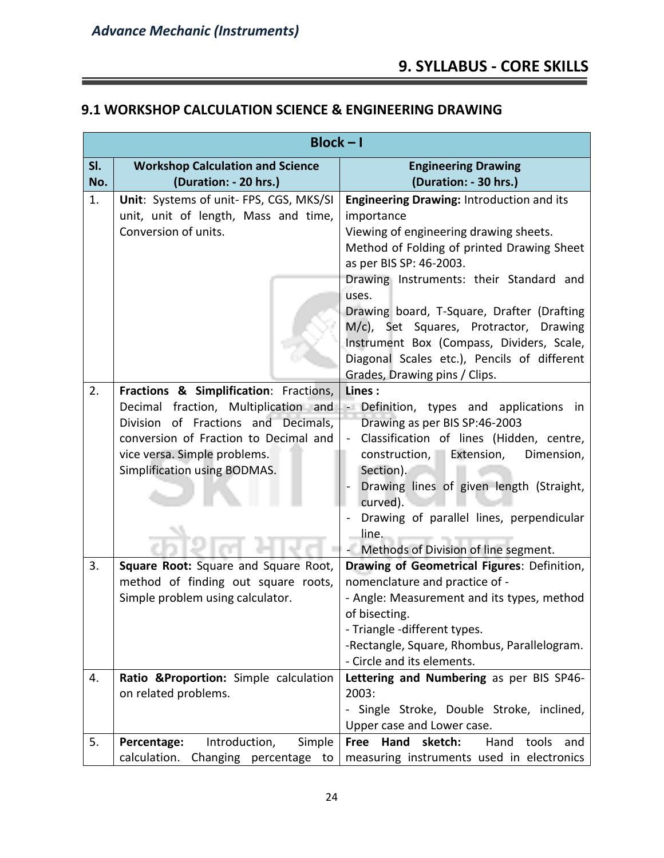#### **9. SYLLABUS - CORE SKILLS**

#### **9.1 WORKSHOP CALCULATION SCIENCE & ENGINEERING DRAWING**

|     | $Block - I$                                                                 |                                                                                      |  |
|-----|-----------------------------------------------------------------------------|--------------------------------------------------------------------------------------|--|
| SI. | <b>Workshop Calculation and Science</b>                                     | <b>Engineering Drawing</b>                                                           |  |
| No. | (Duration: - 20 hrs.)                                                       | (Duration: - 30 hrs.)                                                                |  |
| 1.  | Unit: Systems of unit- FPS, CGS, MKS/SI                                     | Engineering Drawing: Introduction and its                                            |  |
|     | unit, unit of length, Mass and time,                                        | importance                                                                           |  |
|     | Conversion of units.                                                        | Viewing of engineering drawing sheets.<br>Method of Folding of printed Drawing Sheet |  |
|     |                                                                             | as per BIS SP: 46-2003.                                                              |  |
|     |                                                                             | Drawing Instruments: their Standard and                                              |  |
|     |                                                                             | uses.                                                                                |  |
|     |                                                                             | Drawing board, T-Square, Drafter (Drafting                                           |  |
|     |                                                                             | M/c), Set Squares, Protractor, Drawing                                               |  |
|     |                                                                             | Instrument Box (Compass, Dividers, Scale,                                            |  |
|     |                                                                             | Diagonal Scales etc.), Pencils of different                                          |  |
|     |                                                                             | Grades, Drawing pins / Clips.                                                        |  |
| 2.  | Fractions & Simplification: Fractions,                                      | Lines:                                                                               |  |
|     | Decimal fraction, Multiplication and<br>Division of Fractions and Decimals, | <b>Definition</b> , types and applications<br>in                                     |  |
|     | conversion of Fraction to Decimal and                                       | Drawing as per BIS SP:46-2003<br>Classification of lines (Hidden, centre,            |  |
|     | vice versa. Simple problems.                                                | construction, Extension,<br>Dimension,                                               |  |
|     | Simplification using BODMAS.                                                | Section).                                                                            |  |
|     |                                                                             | Drawing lines of given length (Straight,                                             |  |
|     |                                                                             | curved).                                                                             |  |
|     |                                                                             | Drawing of parallel lines, perpendicular                                             |  |
|     |                                                                             | line.                                                                                |  |
|     |                                                                             | Methods of Division of line segment.                                                 |  |
| 3.  | Square Root: Square and Square Root,                                        | Drawing of Geometrical Figures: Definition,                                          |  |
|     | method of finding out square roots,                                         | nomenclature and practice of -                                                       |  |
|     | Simple problem using calculator.                                            | - Angle: Measurement and its types, method                                           |  |
|     |                                                                             | of bisecting.                                                                        |  |
|     |                                                                             | - Triangle -different types.                                                         |  |
|     |                                                                             | -Rectangle, Square, Rhombus, Parallelogram.<br>- Circle and its elements.            |  |
| 4.  | Ratio ∷: Simple calculation                                                 | Lettering and Numbering as per BIS SP46-                                             |  |
|     | on related problems.                                                        | 2003:                                                                                |  |
|     |                                                                             | - Single Stroke, Double Stroke, inclined,                                            |  |
|     |                                                                             | Upper case and Lower case.                                                           |  |
| 5.  | Introduction,<br>Simple<br>Percentage:                                      | Hand<br>sketch:<br>Hand<br>tools<br><b>Free</b><br>and                               |  |
|     | calculation.<br>Changing percentage to                                      | measuring instruments used in electronics                                            |  |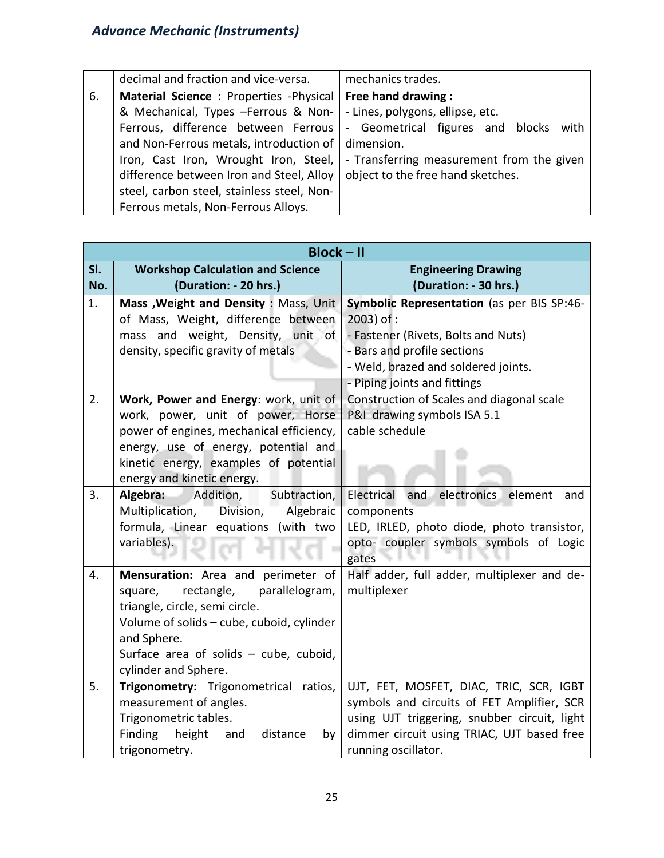|    | decimal and fraction and vice-versa.                                   | mechanics trades.                         |  |
|----|------------------------------------------------------------------------|-------------------------------------------|--|
| 6. | Material Science: Properties -Physical   Free hand drawing:            |                                           |  |
|    | & Mechanical, Types -Ferrous & Non-                                    | - Lines, polygons, ellipse, etc.          |  |
|    | Ferrous, difference between Ferrous   - Geometrical figures and blocks | with                                      |  |
|    | and Non-Ferrous metals, introduction of   dimension.                   |                                           |  |
|    | Iron, Cast Iron, Wrought Iron, Steel,                                  | - Transferring measurement from the given |  |
|    | difference between Iron and Steel, Alloy                               | object to the free hand sketches.         |  |
|    | steel, carbon steel, stainless steel, Non-                             |                                           |  |
|    | Ferrous metals, Non-Ferrous Alloys.                                    |                                           |  |

|     | <b>Block-II</b>                                                    |                                              |  |
|-----|--------------------------------------------------------------------|----------------------------------------------|--|
| SI. | <b>Workshop Calculation and Science</b>                            | <b>Engineering Drawing</b>                   |  |
| No. | (Duration: - 20 hrs.)                                              | (Duration: - 30 hrs.)                        |  |
| 1.  | Mass , Weight and Density : Mass, Unit                             | Symbolic Representation (as per BIS SP:46-   |  |
|     | of Mass, Weight, difference between                                | 2003) of :                                   |  |
|     | mass and weight, Density, unit of                                  | - Fastener (Rivets, Bolts and Nuts)          |  |
|     | density, specific gravity of metals                                | - Bars and profile sections                  |  |
|     |                                                                    | - Weld, brazed and soldered joints.          |  |
|     |                                                                    | - Piping joints and fittings                 |  |
| 2.  | Work, Power and Energy: work, unit of                              | Construction of Scales and diagonal scale    |  |
|     | work, power, unit of power, Horse                                  | P&I drawing symbols ISA 5.1                  |  |
|     | power of engines, mechanical efficiency,                           | cable schedule                               |  |
|     | energy, use of energy, potential and                               |                                              |  |
|     | kinetic energy, examples of potential                              |                                              |  |
|     | energy and kinetic energy.<br>Subtraction,                         | Electrical<br>and                            |  |
| 3.  | Algebra:<br>Addition,<br>Division,<br>Algebraic<br>Multiplication, | electronics<br>element<br>and<br>components  |  |
|     | formula, Linear equations (with two                                | LED, IRLED, photo diode, photo transistor,   |  |
|     | variables).                                                        | opto- coupler symbols symbols of Logic       |  |
|     |                                                                    | gates                                        |  |
| 4.  | Mensuration: Area and perimeter of                                 | Half adder, full adder, multiplexer and de-  |  |
|     | rectangle,<br>parallelogram,<br>square,                            | multiplexer                                  |  |
|     | triangle, circle, semi circle.                                     |                                              |  |
|     | Volume of solids - cube, cuboid, cylinder                          |                                              |  |
|     | and Sphere.                                                        |                                              |  |
|     | Surface area of solids - cube, cuboid,                             |                                              |  |
|     | cylinder and Sphere.                                               |                                              |  |
| 5.  | Trigonometry: Trigonometrical ratios,                              | UJT, FET, MOSFET, DIAC, TRIC, SCR, IGBT      |  |
|     | measurement of angles.                                             | symbols and circuits of FET Amplifier, SCR   |  |
|     | Trigonometric tables.                                              | using UJT triggering, snubber circuit, light |  |
|     | Finding<br>height<br>distance<br>and<br>by                         | dimmer circuit using TRIAC, UJT based free   |  |
|     | trigonometry.                                                      | running oscillator.                          |  |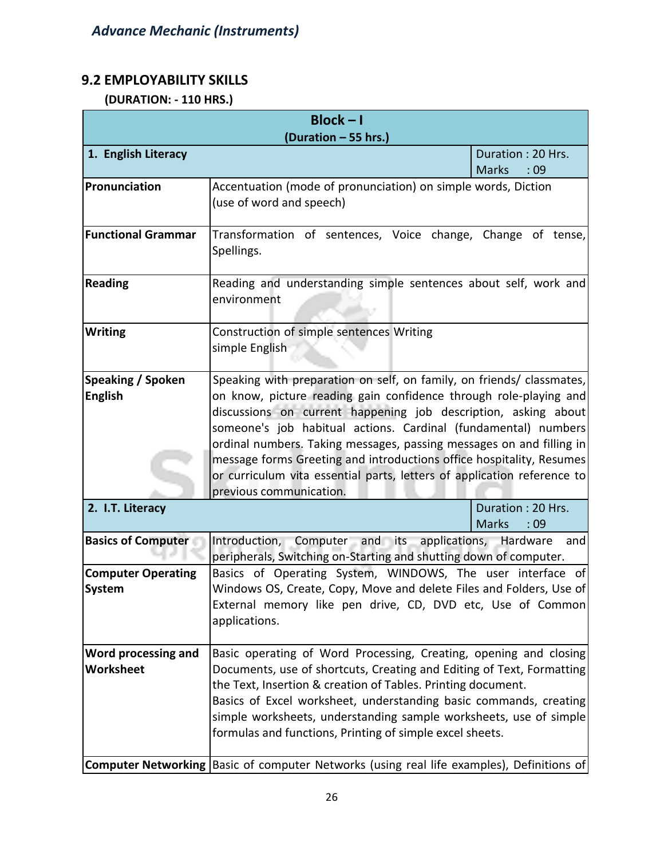#### **9.2 EMPLOYABILITY SKILLS**

 **(DURATION: - 110 HRS.)**

| $Block - I$                                |                                                                                                                                   |                     |  |
|--------------------------------------------|-----------------------------------------------------------------------------------------------------------------------------------|---------------------|--|
| (Duration - 55 hrs.)                       |                                                                                                                                   |                     |  |
| 1. English Literacy                        |                                                                                                                                   | Duration: 20 Hrs.   |  |
| Pronunciation                              |                                                                                                                                   | <b>Marks</b><br>:09 |  |
|                                            | Accentuation (mode of pronunciation) on simple words, Diction<br>(use of word and speech)                                         |                     |  |
|                                            |                                                                                                                                   |                     |  |
| <b>Functional Grammar</b>                  | Transformation of sentences, Voice change, Change of tense,                                                                       |                     |  |
|                                            | Spellings.                                                                                                                        |                     |  |
|                                            |                                                                                                                                   |                     |  |
| <b>Reading</b>                             | Reading and understanding simple sentences about self, work and                                                                   |                     |  |
|                                            | environment                                                                                                                       |                     |  |
|                                            |                                                                                                                                   |                     |  |
| <b>Writing</b>                             | Construction of simple sentences Writing                                                                                          |                     |  |
|                                            | simple English                                                                                                                    |                     |  |
| Speaking / Spoken                          | Speaking with preparation on self, on family, on friends/ classmates,                                                             |                     |  |
| <b>English</b>                             | on know, picture reading gain confidence through role-playing and                                                                 |                     |  |
|                                            | discussions on current happening job description, asking about                                                                    |                     |  |
|                                            | someone's job habitual actions. Cardinal (fundamental) numbers                                                                    |                     |  |
|                                            | ordinal numbers. Taking messages, passing messages on and filling in                                                              |                     |  |
|                                            | message forms Greeting and introductions office hospitality, Resumes                                                              |                     |  |
|                                            | or curriculum vita essential parts, letters of application reference to                                                           |                     |  |
|                                            | previous communication.                                                                                                           |                     |  |
| 2. I.T. Literacy                           |                                                                                                                                   | Duration: 20 Hrs.   |  |
|                                            |                                                                                                                                   | <b>Marks</b><br>:09 |  |
| <b>Basics of Computer</b>                  | Introduction,<br>Computer and<br>applications,<br>its                                                                             | Hardware<br>and     |  |
|                                            | peripherals, Switching on-Starting and shutting down of computer.                                                                 |                     |  |
| <b>Computer Operating</b><br><b>System</b> | Basics of Operating System, WINDOWS, The user interface of<br>Windows OS, Create, Copy, Move and delete Files and Folders, Use of |                     |  |
|                                            | External memory like pen drive, CD, DVD etc, Use of Common                                                                        |                     |  |
|                                            | applications.                                                                                                                     |                     |  |
|                                            |                                                                                                                                   |                     |  |
| Word processing and                        | Basic operating of Word Processing, Creating, opening and closing                                                                 |                     |  |
| Worksheet                                  | Documents, use of shortcuts, Creating and Editing of Text, Formatting                                                             |                     |  |
|                                            | the Text, Insertion & creation of Tables. Printing document.                                                                      |                     |  |
|                                            | Basics of Excel worksheet, understanding basic commands, creating                                                                 |                     |  |
|                                            | simple worksheets, understanding sample worksheets, use of simple                                                                 |                     |  |
|                                            | formulas and functions, Printing of simple excel sheets.                                                                          |                     |  |
|                                            |                                                                                                                                   |                     |  |
|                                            | Computer Networking Basic of computer Networks (using real life examples), Definitions of                                         |                     |  |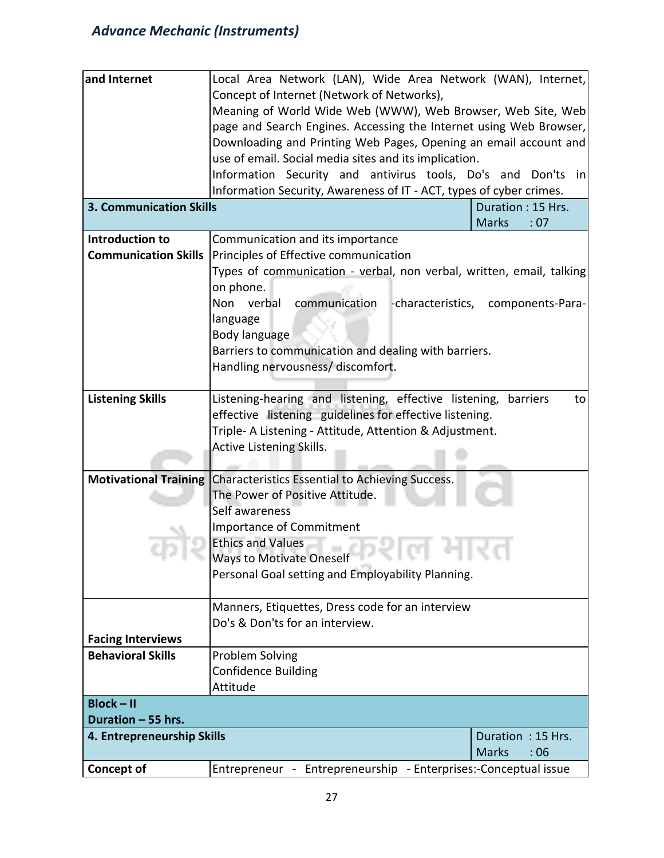| and Internet                   | Local Area Network (LAN), Wide Area Network (WAN), Internet,         |                                    |  |  |
|--------------------------------|----------------------------------------------------------------------|------------------------------------|--|--|
|                                | Concept of Internet (Network of Networks),                           |                                    |  |  |
|                                | Meaning of World Wide Web (WWW), Web Browser, Web Site, Web          |                                    |  |  |
|                                | page and Search Engines. Accessing the Internet using Web Browser,   |                                    |  |  |
|                                | Downloading and Printing Web Pages, Opening an email account and     |                                    |  |  |
|                                | use of email. Social media sites and its implication.                |                                    |  |  |
|                                | Information Security and antivirus tools, Do's and Don'ts in         |                                    |  |  |
|                                | Information Security, Awareness of IT - ACT, types of cyber crimes.  |                                    |  |  |
| <b>3. Communication Skills</b> |                                                                      | Duration: 15 Hrs.                  |  |  |
|                                |                                                                      | <b>Marks</b><br>:07                |  |  |
| Introduction to                | Communication and its importance                                     |                                    |  |  |
| <b>Communication Skills</b>    | Principles of Effective communication                                |                                    |  |  |
|                                | Types of communication - verbal, non verbal, written, email, talking |                                    |  |  |
|                                | on phone.                                                            |                                    |  |  |
|                                | communication<br>Non verbal                                          | -characteristics, components-Para- |  |  |
|                                | language                                                             |                                    |  |  |
|                                | Body language                                                        |                                    |  |  |
|                                | Barriers to communication and dealing with barriers.                 |                                    |  |  |
|                                | Handling nervousness/ discomfort.                                    |                                    |  |  |
|                                |                                                                      |                                    |  |  |
| <b>Listening Skills</b>        | Listening-hearing and listening, effective listening, barriers       | to                                 |  |  |
|                                | effective listening guidelines for effective listening.              |                                    |  |  |
|                                | Triple- A Listening - Attitude, Attention & Adjustment.              |                                    |  |  |
|                                | <b>Active Listening Skills.</b>                                      |                                    |  |  |
|                                |                                                                      |                                    |  |  |
| <b>Motivational Training</b>   | Characteristics Essential to Achieving Success.                      |                                    |  |  |
|                                | The Power of Positive Attitude.                                      |                                    |  |  |
|                                | Self awareness                                                       |                                    |  |  |
|                                | <b>Importance of Commitment</b>                                      |                                    |  |  |
|                                | <b>Ethics and Values</b>                                             |                                    |  |  |
|                                | Ways to Motivate Oneself<br>.                                        |                                    |  |  |
|                                | Personal Goal setting and Employability Planning.                    |                                    |  |  |
|                                |                                                                      |                                    |  |  |
|                                | Manners, Etiquettes, Dress code for an interview                     |                                    |  |  |
|                                | Do's & Don'ts for an interview.                                      |                                    |  |  |
| <b>Facing Interviews</b>       |                                                                      |                                    |  |  |
| <b>Behavioral Skills</b>       | Problem Solving                                                      |                                    |  |  |
|                                | <b>Confidence Building</b>                                           |                                    |  |  |
|                                | Attitude                                                             |                                    |  |  |
| $Block - II$                   |                                                                      |                                    |  |  |
| Duration - 55 hrs.             |                                                                      |                                    |  |  |
|                                | 4. Entrepreneurship Skills<br>Duration: 15 Hrs.                      |                                    |  |  |
|                                |                                                                      | <b>Marks</b><br>:06                |  |  |
| <b>Concept of</b>              | Entrepreneur - Entrepreneurship - Enterprises:-Conceptual issue      |                                    |  |  |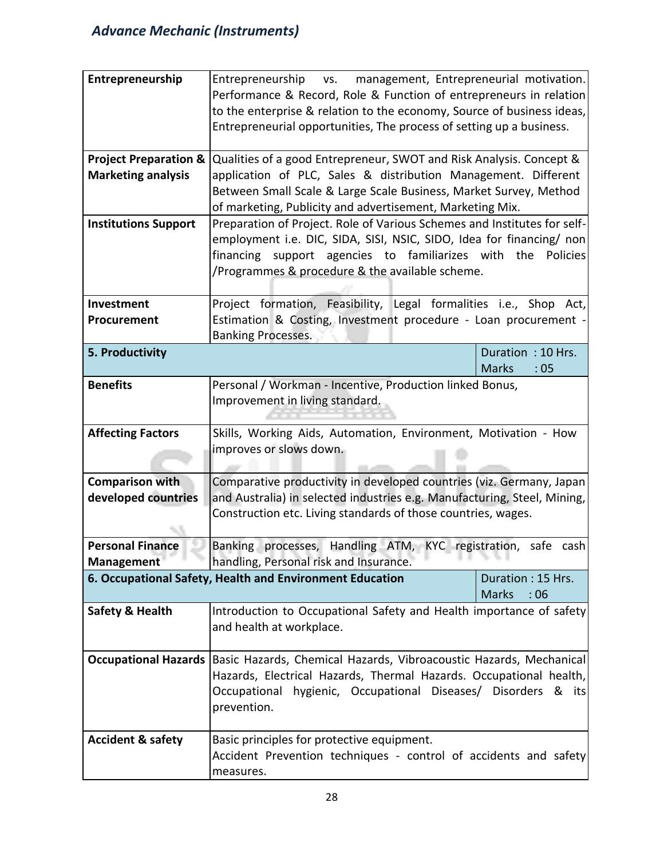| Entrepreneurship                 | Entrepreneurship vs.<br>management, Entrepreneurial motivation.<br>Performance & Record, Role & Function of entrepreneurs in relation<br>to the enterprise & relation to the economy, Source of business ideas, |                     |  |
|----------------------------------|-----------------------------------------------------------------------------------------------------------------------------------------------------------------------------------------------------------------|---------------------|--|
|                                  | Entrepreneurial opportunities, The process of setting up a business.                                                                                                                                            |                     |  |
| <b>Project Preparation &amp;</b> | Qualities of a good Entrepreneur, SWOT and Risk Analysis. Concept &                                                                                                                                             |                     |  |
| <b>Marketing analysis</b>        | application of PLC, Sales & distribution Management. Different                                                                                                                                                  |                     |  |
|                                  | Between Small Scale & Large Scale Business, Market Survey, Method                                                                                                                                               |                     |  |
|                                  | of marketing, Publicity and advertisement, Marketing Mix.                                                                                                                                                       |                     |  |
| <b>Institutions Support</b>      | Preparation of Project. Role of Various Schemes and Institutes for self-                                                                                                                                        |                     |  |
|                                  | employment i.e. DIC, SIDA, SISI, NSIC, SIDO, Idea for financing/ non                                                                                                                                            |                     |  |
|                                  | financing support agencies to familiarizes with the Policies                                                                                                                                                    |                     |  |
|                                  | /Programmes & procedure & the available scheme.                                                                                                                                                                 |                     |  |
| Investment                       | Project formation, Feasibility, Legal formalities i.e., Shop Act,                                                                                                                                               |                     |  |
| Procurement                      | Estimation & Costing, Investment procedure - Loan procurement -                                                                                                                                                 |                     |  |
|                                  | <b>Banking Processes.</b>                                                                                                                                                                                       |                     |  |
| 5. Productivity                  |                                                                                                                                                                                                                 | Duration: 10 Hrs.   |  |
|                                  |                                                                                                                                                                                                                 | <b>Marks</b><br>:05 |  |
| <b>Benefits</b>                  | Personal / Workman - Incentive, Production linked Bonus,                                                                                                                                                        |                     |  |
|                                  | Improvement in living standard.                                                                                                                                                                                 |                     |  |
|                                  |                                                                                                                                                                                                                 |                     |  |
| <b>Affecting Factors</b>         | Skills, Working Aids, Automation, Environment, Motivation - How                                                                                                                                                 |                     |  |
|                                  | improves or slows down.                                                                                                                                                                                         |                     |  |
| <b>Comparison with</b>           | Comparative productivity in developed countries (viz. Germany, Japan                                                                                                                                            |                     |  |
| developed countries              | and Australia) in selected industries e.g. Manufacturing, Steel, Mining,                                                                                                                                        |                     |  |
|                                  | Construction etc. Living standards of those countries, wages.                                                                                                                                                   |                     |  |
|                                  |                                                                                                                                                                                                                 |                     |  |
|                                  |                                                                                                                                                                                                                 |                     |  |
| <b>Personal Finance</b>          |                                                                                                                                                                                                                 |                     |  |
| Management                       | Handling ATM, KYC registration, safe cash<br>Banking processes,<br>handling, Personal risk and Insurance.                                                                                                       |                     |  |
|                                  | 6. Occupational Safety, Health and Environment Education                                                                                                                                                        | Duration: 15 Hrs.   |  |
|                                  |                                                                                                                                                                                                                 | <b>Marks</b><br>:06 |  |
| Safety & Health                  | Introduction to Occupational Safety and Health importance of safety                                                                                                                                             |                     |  |
|                                  | and health at workplace.                                                                                                                                                                                        |                     |  |
|                                  |                                                                                                                                                                                                                 |                     |  |
| <b>Occupational Hazards</b>      | Basic Hazards, Chemical Hazards, Vibroacoustic Hazards, Mechanical                                                                                                                                              |                     |  |
|                                  | Hazards, Electrical Hazards, Thermal Hazards. Occupational health,                                                                                                                                              |                     |  |
|                                  | Occupational hygienic, Occupational Diseases/ Disorders & its                                                                                                                                                   |                     |  |
|                                  | prevention.                                                                                                                                                                                                     |                     |  |
|                                  |                                                                                                                                                                                                                 |                     |  |
| <b>Accident &amp; safety</b>     | Basic principles for protective equipment.<br>Accident Prevention techniques - control of accidents and safety                                                                                                  |                     |  |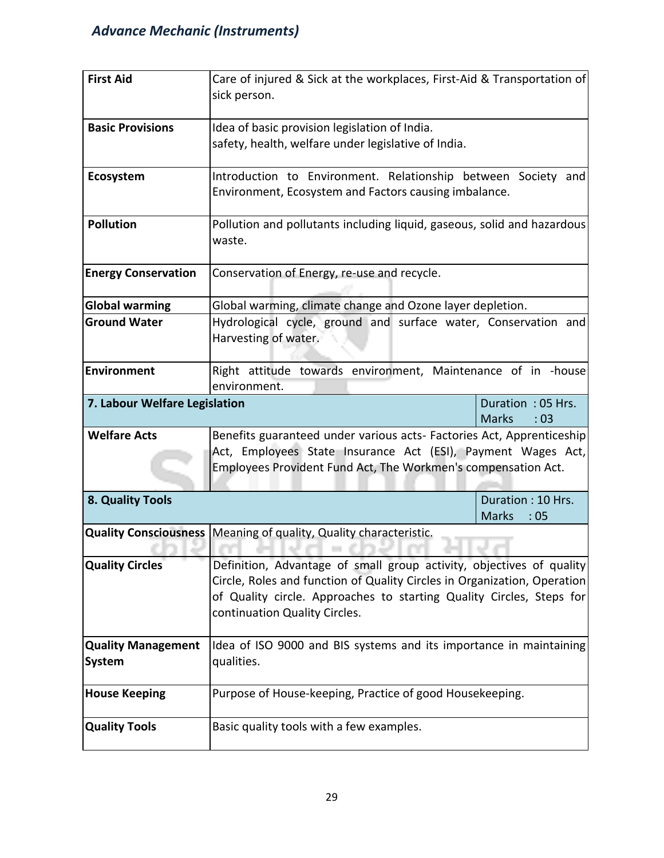| <b>First Aid</b>              | Care of injured & Sick at the workplaces, First-Aid & Transportation of  |                              |  |
|-------------------------------|--------------------------------------------------------------------------|------------------------------|--|
|                               | sick person.                                                             |                              |  |
|                               |                                                                          |                              |  |
| <b>Basic Provisions</b>       | Idea of basic provision legislation of India.                            |                              |  |
|                               | safety, health, welfare under legislative of India.                      |                              |  |
|                               |                                                                          |                              |  |
| Ecosystem                     | Introduction to Environment. Relationship between Society and            |                              |  |
|                               | Environment, Ecosystem and Factors causing imbalance.                    |                              |  |
|                               |                                                                          |                              |  |
| <b>Pollution</b>              | Pollution and pollutants including liquid, gaseous, solid and hazardous  |                              |  |
|                               | waste.                                                                   |                              |  |
|                               |                                                                          |                              |  |
| <b>Energy Conservation</b>    | Conservation of Energy, re-use and recycle.                              |                              |  |
|                               |                                                                          |                              |  |
| <b>Global warming</b>         | Global warming, climate change and Ozone layer depletion.                |                              |  |
| <b>Ground Water</b>           | Hydrological cycle, ground and surface water, Conservation and           |                              |  |
|                               | Harvesting of water.                                                     |                              |  |
|                               |                                                                          |                              |  |
| Environment                   | Right attitude towards environment, Maintenance of in -house             |                              |  |
|                               | environment.                                                             |                              |  |
|                               |                                                                          | Duration: 05 Hrs.            |  |
| 7. Labour Welfare Legislation |                                                                          |                              |  |
|                               |                                                                          | <b>Marks</b><br>:03          |  |
| <b>Welfare Acts</b>           | Benefits guaranteed under various acts- Factories Act, Apprenticeship    |                              |  |
|                               | Act, Employees State Insurance Act (ESI), Payment Wages Act,             |                              |  |
|                               | Employees Provident Fund Act, The Workmen's compensation Act.            |                              |  |
|                               |                                                                          |                              |  |
| 8. Quality Tools              |                                                                          | Duration: 10 Hrs.            |  |
|                               |                                                                          | <b>Marks</b><br>$\cdot$ : 05 |  |
|                               | Quality Consciousness Meaning of quality, Quality characteristic.        |                              |  |
|                               |                                                                          |                              |  |
| <b>Quality Circles</b>        | Definition, Advantage of small group activity, objectives of quality     |                              |  |
|                               | Circle, Roles and function of Quality Circles in Organization, Operation |                              |  |
|                               | of Quality circle. Approaches to starting Quality Circles, Steps for     |                              |  |
|                               | continuation Quality Circles.                                            |                              |  |
|                               |                                                                          |                              |  |
| <b>Quality Management</b>     | Idea of ISO 9000 and BIS systems and its importance in maintaining       |                              |  |
| <b>System</b>                 | qualities.                                                               |                              |  |
|                               |                                                                          |                              |  |
| <b>House Keeping</b>          | Purpose of House-keeping, Practice of good Housekeeping.                 |                              |  |
|                               |                                                                          |                              |  |
| <b>Quality Tools</b>          | Basic quality tools with a few examples.                                 |                              |  |
|                               |                                                                          |                              |  |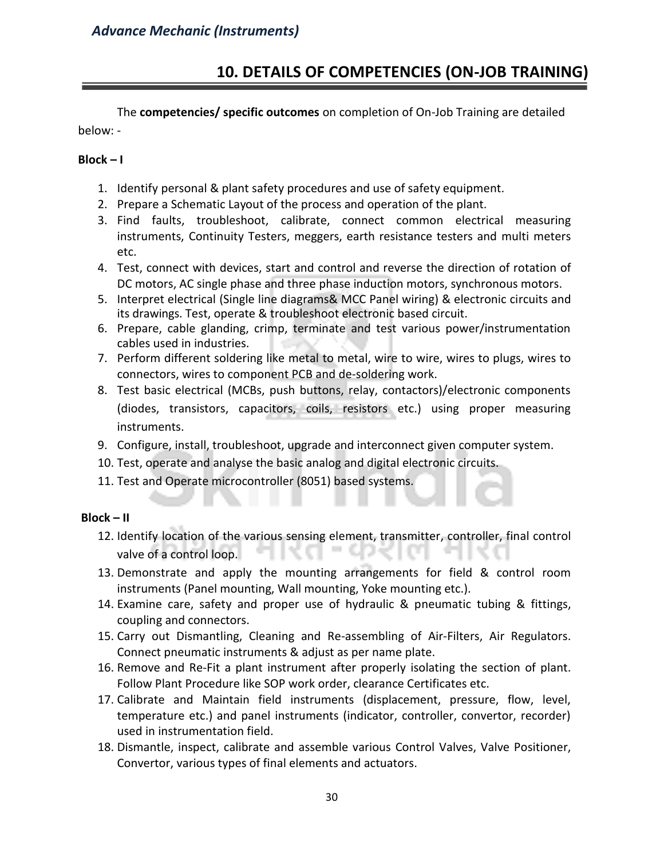#### **10. DETAILS OF COMPETENCIES (ON-JOB TRAINING)**

The **competencies/ specific outcomes** on completion of On-Job Training are detailed below: -

#### **Block – I**

- 1. Identify personal & plant safety procedures and use of safety equipment.
- 2. Prepare a Schematic Layout of the process and operation of the plant.
- 3. Find faults, troubleshoot, calibrate, connect common electrical measuring instruments, Continuity Testers, meggers, earth resistance testers and multi meters etc.
- 4. Test, connect with devices, start and control and reverse the direction of rotation of DC motors, AC single phase and three phase induction motors, synchronous motors.
- 5. Interpret electrical (Single line diagrams& MCC Panel wiring) & electronic circuits and its drawings. Test, operate & troubleshoot electronic based circuit.
- 6. Prepare, cable glanding, crimp, terminate and test various power/instrumentation cables used in industries.
- 7. Perform different soldering like metal to metal, wire to wire, wires to plugs, wires to connectors, wires to component PCB and de-soldering work.
- 8. Test basic electrical (MCBs, push buttons, relay, contactors)/electronic components (diodes, transistors, capacitors, coils, resistors etc.) using proper measuring instruments.
- 9. Configure, install, troubleshoot, upgrade and interconnect given computer system.
- 10. Test, operate and analyse the basic analog and digital electronic circuits.
- 11. Test and Operate microcontroller (8051) based systems.

#### **Block – II**

- 12. Identify location of the various sensing element, transmitter, controller, final control valve of a control loop.
- 13. Demonstrate and apply the mounting arrangements for field & control room instruments (Panel mounting, Wall mounting, Yoke mounting etc.).
- 14. Examine care, safety and proper use of hydraulic & pneumatic tubing & fittings, coupling and connectors.
- 15. Carry out Dismantling, Cleaning and Re-assembling of Air-Filters, Air Regulators. Connect pneumatic instruments & adjust as per name plate.
- 16. Remove and Re-Fit a plant instrument after properly isolating the section of plant. Follow Plant Procedure like SOP work order, clearance Certificates etc.
- 17. Calibrate and Maintain field instruments (displacement, pressure, flow, level, temperature etc.) and panel instruments (indicator, controller, convertor, recorder) used in instrumentation field.
- 18. Dismantle, inspect, calibrate and assemble various Control Valves, Valve Positioner, Convertor, various types of final elements and actuators.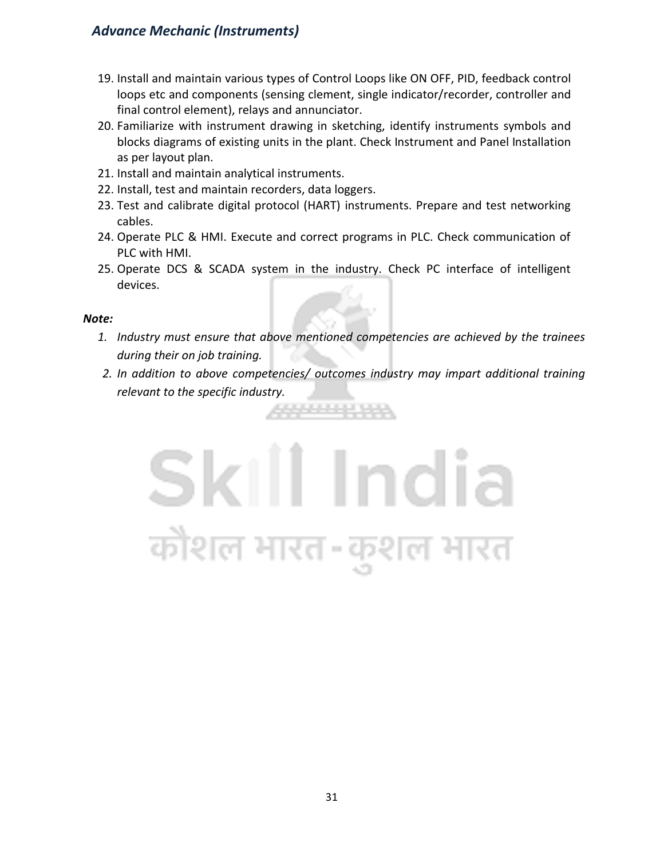- 19. Install and maintain various types of Control Loops like ON OFF, PID, feedback control loops etc and components (sensing clement, single indicator/recorder, controller and final control element), relays and annunciator.
- 20. Familiarize with instrument drawing in sketching, identify instruments symbols and blocks diagrams of existing units in the plant. Check Instrument and Panel Installation as per layout plan.
- 21. Install and maintain analytical instruments.
- 22. Install, test and maintain recorders, data loggers.
- 23. Test and calibrate digital protocol (HART) instruments. Prepare and test networking cables.
- 24. Operate PLC & HMI. Execute and correct programs in PLC. Check communication of PLC with HMI.
- 25. Operate DCS & SCADA system in the industry. Check PC interface of intelligent devices.

#### *Note:*

- *1. Industry must ensure that above mentioned competencies are achieved by the trainees during their on job training.*
- *2. In addition to above competencies/ outcomes industry may impart additional training relevant to the specific industry.*

2322222 2422

## Skill India कोशल भारत-कुशल भारत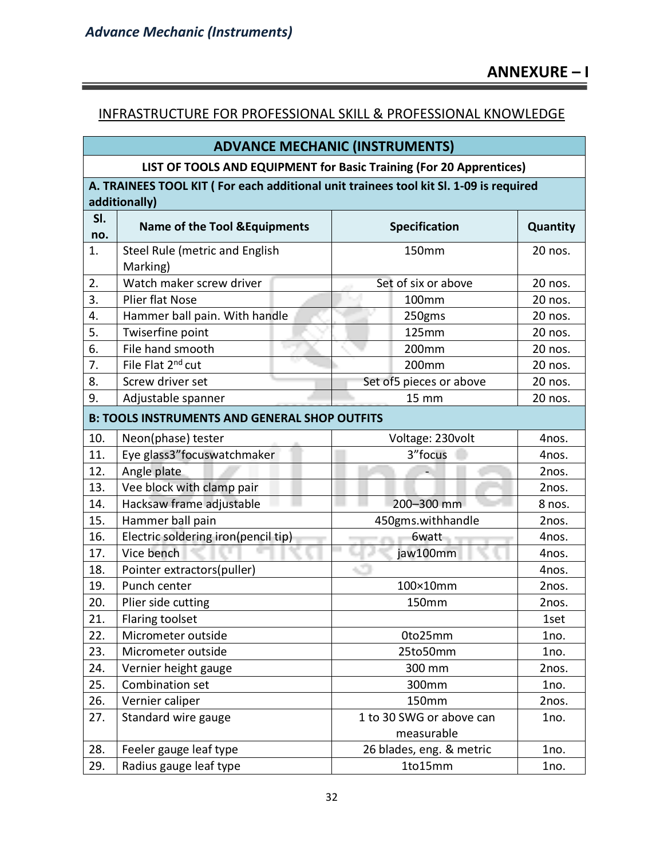#### INFRASTRUCTURE FOR PROFESSIONAL SKILL & PROFESSIONAL KNOWLEDGE

| <b>ADVANCE MECHANIC (INSTRUMENTS)</b>                               |                                                                                       |                          |          |  |  |
|---------------------------------------------------------------------|---------------------------------------------------------------------------------------|--------------------------|----------|--|--|
| LIST OF TOOLS AND EQUIPMENT for Basic Training (For 20 Apprentices) |                                                                                       |                          |          |  |  |
|                                                                     | A. TRAINEES TOOL KIT (For each additional unit trainees tool kit Sl. 1-09 is required |                          |          |  |  |
|                                                                     | additionally)                                                                         |                          |          |  |  |
| SI.                                                                 | <b>Name of the Tool &amp; Equipments</b><br><b>Specification</b>                      |                          |          |  |  |
| no.                                                                 |                                                                                       |                          | Quantity |  |  |
| 1.                                                                  | Steel Rule (metric and English                                                        | 150mm                    | 20 nos.  |  |  |
|                                                                     | Marking)                                                                              |                          |          |  |  |
| 2.                                                                  | Watch maker screw driver                                                              | Set of six or above      | 20 nos.  |  |  |
| 3.                                                                  | <b>Plier flat Nose</b>                                                                | 100mm                    | 20 nos.  |  |  |
| 4.                                                                  | Hammer ball pain. With handle                                                         | 250gms                   | 20 nos.  |  |  |
| 5.                                                                  | Twiserfine point                                                                      | 125mm                    | 20 nos.  |  |  |
| 6.                                                                  | File hand smooth                                                                      | 200mm                    | 20 nos.  |  |  |
| 7.                                                                  | File Flat 2 <sup>nd</sup> cut                                                         | 200mm                    | 20 nos.  |  |  |
| 8.                                                                  | Screw driver set                                                                      | Set of 5 pieces or above | 20 nos.  |  |  |
| 9.<br>Adjustable spanner<br><b>15 mm</b>                            |                                                                                       | 20 nos.                  |          |  |  |
|                                                                     | <b>B: TOOLS INSTRUMENTS AND GENERAL SHOP OUTFITS</b>                                  |                          |          |  |  |
| 10.                                                                 | Neon(phase) tester                                                                    | Voltage: 230volt         | 4nos.    |  |  |
| 11.                                                                 | Eye glass3" focus watchmaker                                                          | 3"focus                  | 4nos.    |  |  |
| 12.                                                                 | Angle plate                                                                           |                          | 2nos.    |  |  |
| 13.                                                                 | Vee block with clamp pair                                                             |                          | 2nos.    |  |  |
| 14.                                                                 | Hacksaw frame adjustable                                                              | 200-300 mm               | 8 nos.   |  |  |
| 15.                                                                 | Hammer ball pain                                                                      | 450gms.withhandle        | 2nos.    |  |  |
| 16.                                                                 | Electric soldering iron(pencil tip)                                                   | 6watt                    | 4nos.    |  |  |
| 17.                                                                 | Vice bench                                                                            | jaw100mm                 | 4nos.    |  |  |
| 18.                                                                 | Pointer extractors(puller)                                                            | 45                       | 4nos.    |  |  |
| 19.                                                                 | Punch center                                                                          | 100×10mm                 | 2nos.    |  |  |
| 20.                                                                 | Plier side cutting                                                                    | 150mm                    | 2nos.    |  |  |
| 21.                                                                 | Flaring toolset                                                                       |                          | 1set     |  |  |
| 22.                                                                 | Micrometer outside                                                                    | 0to25mm                  | 1no.     |  |  |
| 23.                                                                 | Micrometer outside                                                                    | 25to50mm                 | 1no.     |  |  |
| 24.                                                                 | Vernier height gauge                                                                  | 300 mm                   | 2nos.    |  |  |
| 25.                                                                 | Combination set                                                                       | 300mm                    | 1no.     |  |  |
| 26.                                                                 | Vernier caliper                                                                       | 150mm                    | 2nos.    |  |  |
| 27.                                                                 | Standard wire gauge                                                                   | 1 to 30 SWG or above can | 1no.     |  |  |
|                                                                     |                                                                                       | measurable               |          |  |  |
| 28.                                                                 | Feeler gauge leaf type                                                                | 26 blades, eng. & metric | 1no.     |  |  |
| 29.                                                                 | Radius gauge leaf type                                                                | 1to15mm                  | 1no.     |  |  |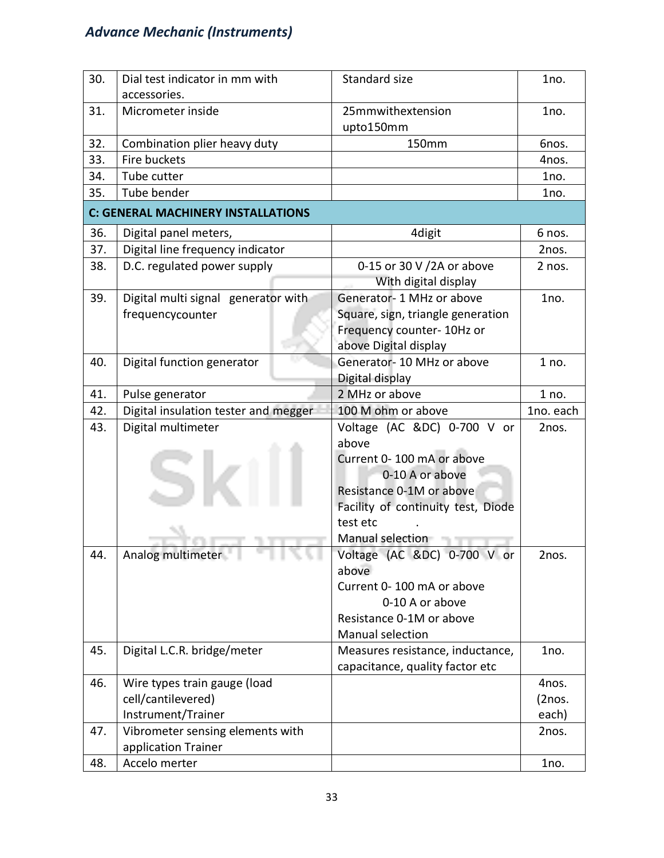| 30. | Dial test indicator in mm with            | Standard size                        | 1no.      |  |  |  |  |
|-----|-------------------------------------------|--------------------------------------|-----------|--|--|--|--|
|     | accessories.                              |                                      |           |  |  |  |  |
| 31. | Micrometer inside                         | 25mmwithextension                    | 1no.      |  |  |  |  |
|     |                                           | upto150mm                            |           |  |  |  |  |
| 32. | Combination plier heavy duty              | 150mm                                | Gnos.     |  |  |  |  |
| 33. | Fire buckets                              |                                      | 4nos.     |  |  |  |  |
| 34. | Tube cutter                               |                                      | 1no.      |  |  |  |  |
| 35. | Tube bender                               |                                      | 1no.      |  |  |  |  |
|     | <b>C: GENERAL MACHINERY INSTALLATIONS</b> |                                      |           |  |  |  |  |
| 36. | Digital panel meters,                     | 4digit                               | 6 nos.    |  |  |  |  |
| 37. | Digital line frequency indicator          |                                      | 2nos.     |  |  |  |  |
| 38. | D.C. regulated power supply               | 0-15 or 30 V /2A or above            | 2 nos.    |  |  |  |  |
|     |                                           | With digital display                 |           |  |  |  |  |
| 39. | Digital multi signal generator with       | Generator-1 MHz or above             | 1no.      |  |  |  |  |
|     | frequencycounter                          | Square, sign, triangle generation    |           |  |  |  |  |
|     |                                           | Frequency counter- 10Hz or           |           |  |  |  |  |
|     |                                           | above Digital display                |           |  |  |  |  |
| 40. | Digital function generator                | Generator-10 MHz or above            | 1 no.     |  |  |  |  |
|     |                                           | Digital display                      |           |  |  |  |  |
| 41. | Pulse generator                           | 2 MHz or above                       | 1 no.     |  |  |  |  |
| 42. | Digital insulation tester and megger      | 100 M ohm or above                   | 1no. each |  |  |  |  |
| 43. | Digital multimeter                        | Voltage (AC &DC) 0-700 V or          | 2nos.     |  |  |  |  |
|     |                                           | above                                |           |  |  |  |  |
|     |                                           | Current 0-100 mA or above            |           |  |  |  |  |
|     |                                           | 0-10 A or above                      |           |  |  |  |  |
|     |                                           | Resistance 0-1M or above             |           |  |  |  |  |
|     |                                           | Facility of continuity test, Diode   |           |  |  |  |  |
|     |                                           | test etc                             |           |  |  |  |  |
|     |                                           | Manual selection                     |           |  |  |  |  |
| 44. | Analog multimeter T                       | Voltage (AC &DC) 0-700 V or<br>above | 2nos.     |  |  |  |  |
|     |                                           | Current 0-100 mA or above            |           |  |  |  |  |
|     |                                           | 0-10 A or above                      |           |  |  |  |  |
|     |                                           | Resistance 0-1M or above             |           |  |  |  |  |
|     |                                           | Manual selection                     |           |  |  |  |  |
| 45. | Digital L.C.R. bridge/meter               | Measures resistance, inductance,     | 1no.      |  |  |  |  |
|     |                                           | capacitance, quality factor etc      |           |  |  |  |  |
| 46. | Wire types train gauge (load              |                                      | 4nos.     |  |  |  |  |
|     | cell/cantilevered)                        |                                      | (2nos.    |  |  |  |  |
|     | Instrument/Trainer                        |                                      | each)     |  |  |  |  |
| 47. | Vibrometer sensing elements with          |                                      | 2nos.     |  |  |  |  |
|     | application Trainer                       |                                      |           |  |  |  |  |
| 48. | Accelo merter                             |                                      | 1no.      |  |  |  |  |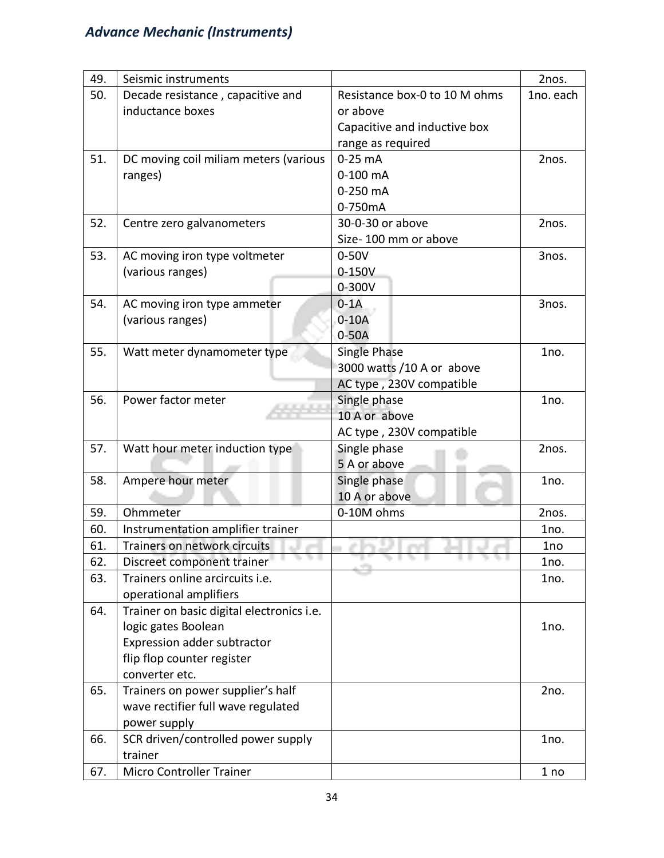| 49. | Seismic instruments                       |                               | 2nos.     |
|-----|-------------------------------------------|-------------------------------|-----------|
| 50. | Decade resistance, capacitive and         | Resistance box-0 to 10 M ohms | 1no. each |
|     | inductance boxes                          | or above                      |           |
|     |                                           | Capacitive and inductive box  |           |
|     |                                           | range as required             |           |
| 51. | DC moving coil miliam meters (various     | $0-25$ mA                     | 2nos.     |
|     | ranges)                                   | $0-100$ mA                    |           |
|     |                                           | 0-250 mA                      |           |
|     |                                           | 0-750mA                       |           |
| 52. | Centre zero galvanometers                 | 30-0-30 or above              | 2nos.     |
|     |                                           | Size-100 mm or above          |           |
| 53. | AC moving iron type voltmeter             | $0-50V$                       | 3nos.     |
|     | (various ranges)                          | 0-150V                        |           |
|     |                                           | $0 - 300V$                    |           |
| 54. | AC moving iron type ammeter               | $0-1A$                        | 3nos.     |
|     | (various ranges)                          | $0-10A$                       |           |
|     |                                           | $0-50A$                       |           |
| 55. | Watt meter dynamometer type               | Single Phase                  | 1no.      |
|     |                                           | 3000 watts /10 A or above     |           |
|     |                                           | AC type, 230V compatible      |           |
| 56. | Power factor meter                        | Single phase                  | 1no.      |
|     |                                           | 10 A or above                 |           |
|     |                                           | AC type, 230V compatible      |           |
| 57. | Watt hour meter induction type            | Single phase                  | 2nos.     |
|     |                                           | 5 A or above                  |           |
| 58. | Ampere hour meter                         | Single phase                  | 1no.      |
|     |                                           | 10 A or above                 |           |
| 59. | Ohmmeter                                  | 0-10M ohms                    | 2nos.     |
| 60. | Instrumentation amplifier trainer         |                               | 1no.      |
| 61. | Trainers on network circuits              |                               | 1no       |
| 62. | Discreet component trainer                |                               | 1no.      |
| 63. | Trainers online arcircuits i.e.           |                               | 1no.      |
|     | operational amplifiers                    |                               |           |
| 64. | Trainer on basic digital electronics i.e. |                               |           |
|     | logic gates Boolean                       |                               | 1no.      |
|     | Expression adder subtractor               |                               |           |
|     | flip flop counter register                |                               |           |
|     | converter etc.                            |                               |           |
| 65. | Trainers on power supplier's half         |                               | 2no.      |
|     | wave rectifier full wave regulated        |                               |           |
|     | power supply                              |                               |           |
| 66. | SCR driven/controlled power supply        |                               | 1no.      |
|     | trainer                                   |                               |           |
| 67. | Micro Controller Trainer                  |                               | 1 no      |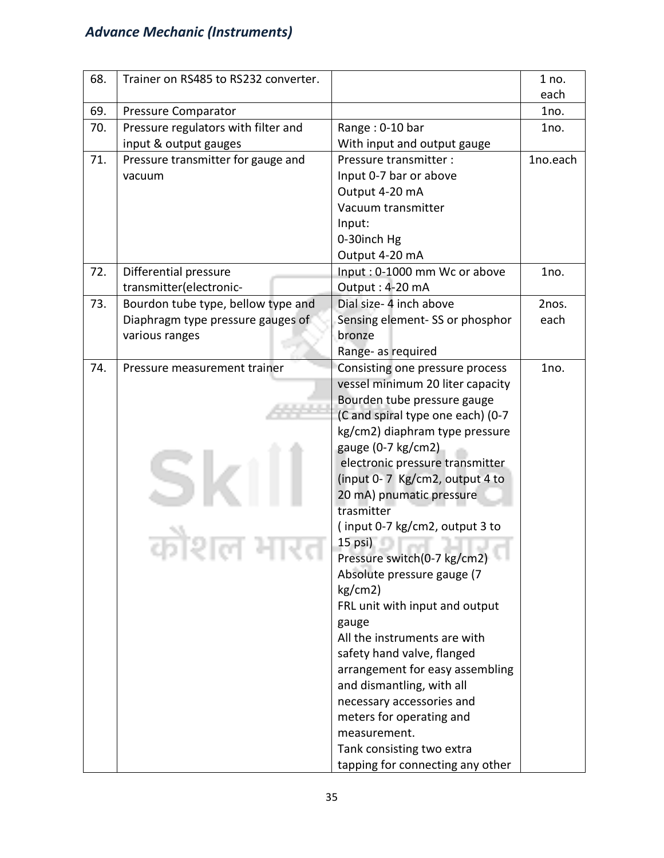| 68. | Trainer on RS485 to RS232 converter. |                                   | 1 no.    |
|-----|--------------------------------------|-----------------------------------|----------|
|     |                                      |                                   | each     |
| 69. | Pressure Comparator                  |                                   | 1no.     |
| 70. | Pressure regulators with filter and  | Range: 0-10 bar                   | 1no.     |
|     | input & output gauges                | With input and output gauge       |          |
| 71. | Pressure transmitter for gauge and   | Pressure transmitter :            | 1no.each |
|     | vacuum                               | Input 0-7 bar or above            |          |
|     |                                      | Output 4-20 mA                    |          |
|     |                                      | Vacuum transmitter                |          |
|     |                                      | Input:                            |          |
|     |                                      | 0-30inch Hg                       |          |
|     |                                      | Output 4-20 mA                    |          |
| 72. | Differential pressure                | Input: 0-1000 mm Wc or above      | 1no.     |
|     | transmitter(electronic-              | Output: 4-20 mA                   |          |
| 73. | Bourdon tube type, bellow type and   | Dial size- 4 inch above           | 2nos.    |
|     | Diaphragm type pressure gauges of    | Sensing element-SS or phosphor    | each     |
|     | various ranges                       | bronze                            |          |
|     |                                      | Range- as required                |          |
| 74. | Pressure measurement trainer         | Consisting one pressure process   | 1no.     |
|     |                                      | vessel minimum 20 liter capacity  |          |
|     |                                      | Bourden tube pressure gauge       |          |
|     |                                      | (C and spiral type one each) (0-7 |          |
|     |                                      | kg/cm2) diaphram type pressure    |          |
|     |                                      | gauge (0-7 kg/cm2)                |          |
|     |                                      | electronic pressure transmitter   |          |
|     |                                      | (input 0-7 Kg/cm2, output 4 to    |          |
|     |                                      | 20 mA) pnumatic pressure          |          |
|     |                                      | trasmitter                        |          |
|     |                                      | (input 0-7 kg/cm2, output 3 to    |          |
|     |                                      | 15 psi)                           |          |
|     |                                      | Pressure switch(0-7 kg/cm2)       |          |
|     |                                      | Absolute pressure gauge (7        |          |
|     |                                      | kg/cm2)                           |          |
|     |                                      | FRL unit with input and output    |          |
|     |                                      | gauge                             |          |
|     |                                      | All the instruments are with      |          |
|     |                                      | safety hand valve, flanged        |          |
|     |                                      | arrangement for easy assembling   |          |
|     |                                      | and dismantling, with all         |          |
|     |                                      | necessary accessories and         |          |
|     |                                      | meters for operating and          |          |
|     |                                      | measurement.                      |          |
|     |                                      | Tank consisting two extra         |          |
|     |                                      | tapping for connecting any other  |          |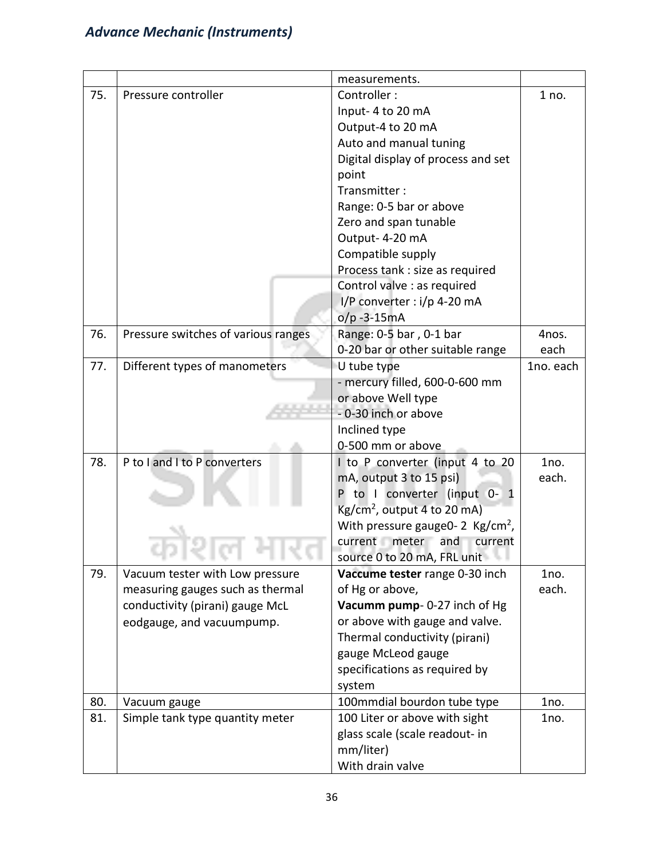|     |                                     | measurements.                               |           |
|-----|-------------------------------------|---------------------------------------------|-----------|
| 75. | Pressure controller                 | Controller:                                 | 1 no.     |
|     |                                     | Input-4 to 20 mA                            |           |
|     |                                     | Output-4 to 20 mA                           |           |
|     |                                     | Auto and manual tuning                      |           |
|     |                                     | Digital display of process and set          |           |
|     |                                     | point                                       |           |
|     |                                     | Transmitter:                                |           |
|     |                                     | Range: 0-5 bar or above                     |           |
|     |                                     | Zero and span tunable                       |           |
|     |                                     | Output-4-20 mA                              |           |
|     |                                     | Compatible supply                           |           |
|     |                                     | Process tank : size as required             |           |
|     |                                     | Control valve : as required                 |           |
|     |                                     | I/P converter : i/p 4-20 mA                 |           |
|     |                                     | $o/p -3-15mA$                               |           |
| 76. | Pressure switches of various ranges | Range: 0-5 bar, 0-1 bar                     | 4nos.     |
|     |                                     | 0-20 bar or other suitable range            | each      |
| 77. | Different types of manometers       | U tube type                                 | 1no. each |
|     |                                     | - mercury filled, 600-0-600 mm              |           |
|     |                                     | or above Well type                          |           |
|     |                                     | -0-30 inch or above                         |           |
|     |                                     | Inclined type                               |           |
|     |                                     | 0-500 mm or above                           |           |
| 78. | P to I and I to P converters        | I to P converter (input 4 to 20             | 1no.      |
|     |                                     | mA, output 3 to 15 psi)                     | each.     |
|     |                                     | P to I converter (input 0- 1                |           |
|     |                                     | $Kg/cm2$ , output 4 to 20 mA)               |           |
|     |                                     | With pressure gauge0-2 $\text{Kg/cm}^2$ ,   |           |
|     |                                     | current meter and<br>current                |           |
|     |                                     | source 0 to 20 mA, FRL unit                 |           |
| 79. | Vacuum tester with Low pressure     | Vaccume tester range 0-30 inch              | 1no.      |
|     | measuring gauges such as thermal    | of Hg or above,                             | each.     |
|     | conductivity (pirani) gauge McL     | Vacumm pump- 0-27 inch of Hg                |           |
|     | eodgauge, and vacuumpump.           | or above with gauge and valve.              |           |
|     |                                     | Thermal conductivity (pirani)               |           |
|     |                                     | gauge McLeod gauge                          |           |
|     |                                     | specifications as required by               |           |
|     |                                     | system                                      |           |
| 80. | Vacuum gauge                        | 100mmdial bourdon tube type                 | 1no.      |
| 81. | Simple tank type quantity meter     | 100 Liter or above with sight               | 1no.      |
|     |                                     | glass scale (scale readout- in<br>mm/liter) |           |
|     |                                     | With drain valve                            |           |
|     |                                     |                                             |           |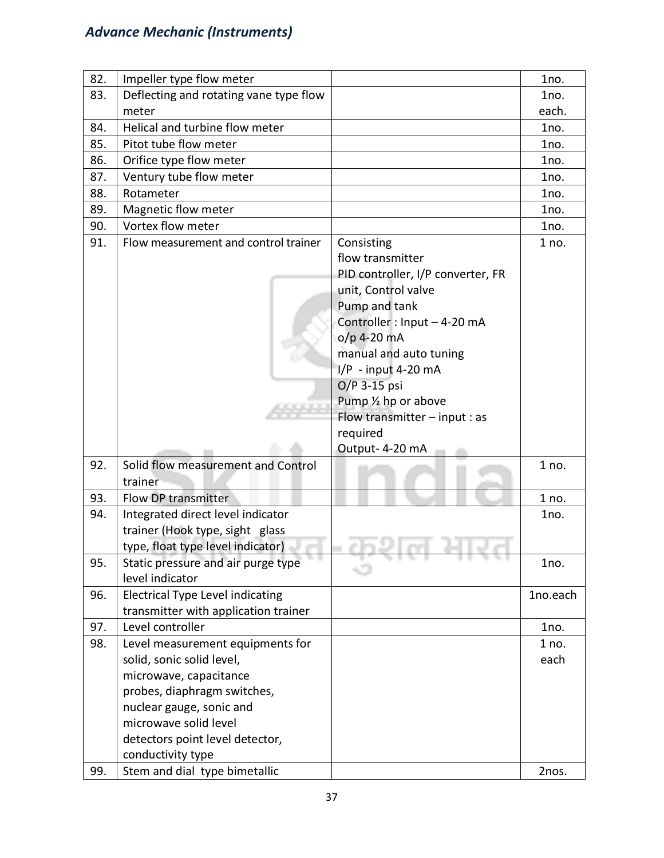| 82. | Impeller type flow meter                |                                   | 1no.     |
|-----|-----------------------------------------|-----------------------------------|----------|
| 83. | Deflecting and rotating vane type flow  |                                   | 1no.     |
|     | meter                                   |                                   | each.    |
| 84. | Helical and turbine flow meter          |                                   | 1no.     |
| 85. | Pitot tube flow meter                   |                                   | 1no.     |
| 86. | Orifice type flow meter                 |                                   | 1no.     |
| 87. | Ventury tube flow meter                 |                                   | 1no.     |
| 88. | Rotameter                               |                                   | 1no.     |
| 89. | Magnetic flow meter                     |                                   | 1no.     |
| 90. | Vortex flow meter                       |                                   | 1no.     |
| 91. | Flow measurement and control trainer    | Consisting                        | 1 no.    |
|     |                                         | flow transmitter                  |          |
|     |                                         | PID controller, I/P converter, FR |          |
|     |                                         | unit, Control valve               |          |
|     |                                         | Pump and tank                     |          |
|     |                                         | Controller: Input - 4-20 mA       |          |
|     |                                         | $o/p$ 4-20 mA                     |          |
|     |                                         | manual and auto tuning            |          |
|     |                                         | I/P - input 4-20 mA               |          |
|     |                                         | O/P 3-15 psi                      |          |
|     |                                         | Pump 1/2 hp or above              |          |
|     |                                         | Flow transmitter $-$ input : as   |          |
|     |                                         | required                          |          |
|     |                                         | Output-4-20 mA                    |          |
| 92. | Solid flow measurement and Control      |                                   | 1 no.    |
|     | trainer                                 |                                   |          |
| 93. | Flow DP transmitter                     |                                   | 1 no.    |
| 94. | Integrated direct level indicator       |                                   | 1no.     |
|     | trainer (Hook type, sight glass         |                                   |          |
|     | type, float type level indicator)       |                                   |          |
| 95. | Static pressure and air purge type      | 5. I 5. I<br>. .<br>78 T.L        | 1no.     |
|     | level indicator                         |                                   |          |
| 96. | <b>Electrical Type Level indicating</b> |                                   | 1no.each |
|     | transmitter with application trainer    |                                   |          |
| 97. | Level controller                        |                                   | 1no.     |
| 98. | Level measurement equipments for        |                                   | 1 no.    |
|     | solid, sonic solid level,               |                                   | each     |
|     | microwave, capacitance                  |                                   |          |
|     | probes, diaphragm switches,             |                                   |          |
|     | nuclear gauge, sonic and                |                                   |          |
|     | microwave solid level                   |                                   |          |
|     | detectors point level detector,         |                                   |          |
|     | conductivity type                       |                                   |          |
| 99. | Stem and dial type bimetallic           |                                   | 2nos.    |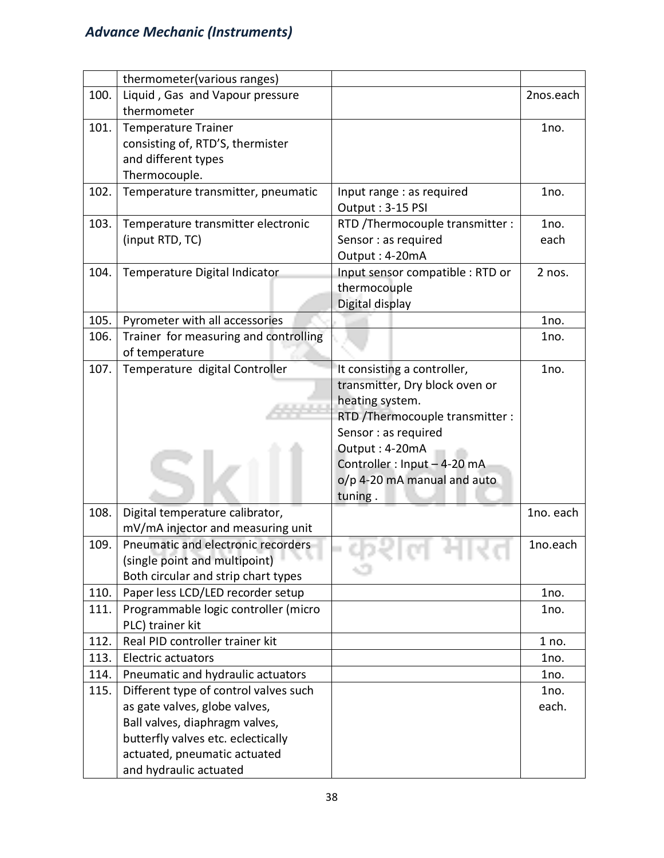|      | thermometer(various ranges)           |                                  |           |
|------|---------------------------------------|----------------------------------|-----------|
| 100. | Liquid, Gas and Vapour pressure       |                                  | 2nos.each |
|      | thermometer                           |                                  |           |
| 101. | <b>Temperature Trainer</b>            |                                  | 1no.      |
|      | consisting of, RTD'S, thermister      |                                  |           |
|      | and different types                   |                                  |           |
|      | Thermocouple.                         |                                  |           |
| 102. | Temperature transmitter, pneumatic    | Input range : as required        | 1no.      |
|      |                                       | Output: 3-15 PSI                 |           |
| 103. | Temperature transmitter electronic    | RTD /Thermocouple transmitter :  | 1no.      |
|      | (input RTD, TC)                       | Sensor : as required             | each      |
|      |                                       | Output: 4-20mA                   |           |
| 104. | Temperature Digital Indicator         | Input sensor compatible : RTD or | 2 nos.    |
|      |                                       | thermocouple                     |           |
|      |                                       | Digital display                  |           |
| 105. | Pyrometer with all accessories        |                                  | 1no.      |
| 106. | Trainer for measuring and controlling |                                  | 1no.      |
|      | of temperature                        |                                  |           |
| 107. | Temperature digital Controller        | It consisting a controller,      | 1no.      |
|      |                                       | transmitter, Dry block oven or   |           |
|      |                                       | heating system.                  |           |
|      |                                       | RTD /Thermocouple transmitter :  |           |
|      |                                       | Sensor : as required             |           |
|      |                                       | Output: 4-20mA                   |           |
|      |                                       | Controller: Input - 4-20 mA      |           |
|      |                                       | o/p 4-20 mA manual and auto      |           |
|      |                                       | tuning.                          |           |
| 108. | Digital temperature calibrator,       |                                  | 1no. each |
|      | mV/mA injector and measuring unit     |                                  |           |
| 109. | Pneumatic and electronic recorders    |                                  | 1no.each  |
|      | (single point and multipoint)         |                                  |           |
|      | Both circular and strip chart types   |                                  |           |
| 110. | Paper less LCD/LED recorder setup     |                                  | 1no.      |
| 111. | Programmable logic controller (micro  |                                  | 1no.      |
|      | PLC) trainer kit                      |                                  |           |
| 112. | Real PID controller trainer kit       |                                  | 1 no.     |
| 113. | <b>Electric actuators</b>             |                                  | 1no.      |
| 114. | Pneumatic and hydraulic actuators     |                                  | 1no.      |
| 115. | Different type of control valves such |                                  | 1no.      |
|      | as gate valves, globe valves,         |                                  | each.     |
|      | Ball valves, diaphragm valves,        |                                  |           |
|      | butterfly valves etc. eclectically    |                                  |           |
|      | actuated, pneumatic actuated          |                                  |           |
|      | and hydraulic actuated                |                                  |           |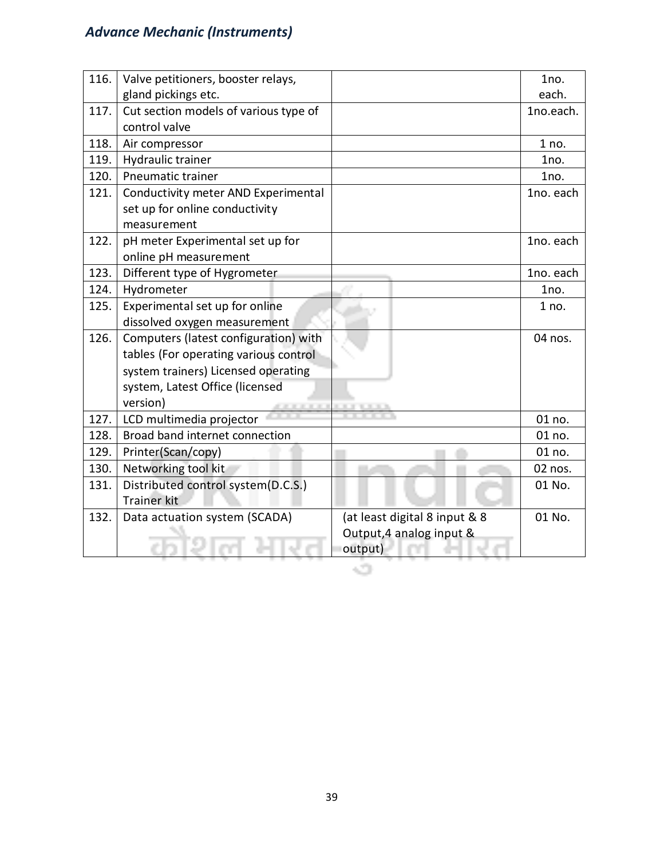| 116. | Valve petitioners, booster relays,    |                               | 1no.      |
|------|---------------------------------------|-------------------------------|-----------|
|      | gland pickings etc.                   |                               | each.     |
| 117. | Cut section models of various type of |                               | 1no.each. |
|      | control valve                         |                               |           |
| 118. | Air compressor                        |                               | 1 no.     |
| 119. | Hydraulic trainer                     |                               | 1no.      |
| 120. | <b>Pneumatic trainer</b>              |                               | 1no.      |
| 121. | Conductivity meter AND Experimental   |                               | 1no. each |
|      | set up for online conductivity        |                               |           |
|      | measurement                           |                               |           |
| 122. | pH meter Experimental set up for      |                               | 1no. each |
|      | online pH measurement                 |                               |           |
| 123. | Different type of Hygrometer          |                               | 1no. each |
| 124. | Hydrometer                            |                               | 1no.      |
| 125. | Experimental set up for online        |                               | 1 no.     |
|      | dissolved oxygen measurement          |                               |           |
| 126. | Computers (latest configuration) with |                               | 04 nos.   |
|      | tables (For operating various control |                               |           |
|      | system trainers) Licensed operating   |                               |           |
|      | system, Latest Office (licensed       |                               |           |
|      | version)                              |                               |           |
| 127. | LCD multimedia projector              |                               | 01 no.    |
| 128. | Broad band internet connection        |                               | 01 no.    |
| 129. | Printer(Scan/copy)                    |                               | 01 no.    |
| 130. | Networking tool kit                   |                               | 02 nos.   |
| 131. | Distributed control system(D.C.S.)    |                               | 01 No.    |
|      | <b>Trainer kit</b>                    |                               |           |
| 132. | Data actuation system (SCADA)         | (at least digital 8 input & 8 | 01 No.    |
|      |                                       | Output, 4 analog input &      |           |
|      |                                       | output)                       |           |
|      |                                       |                               |           |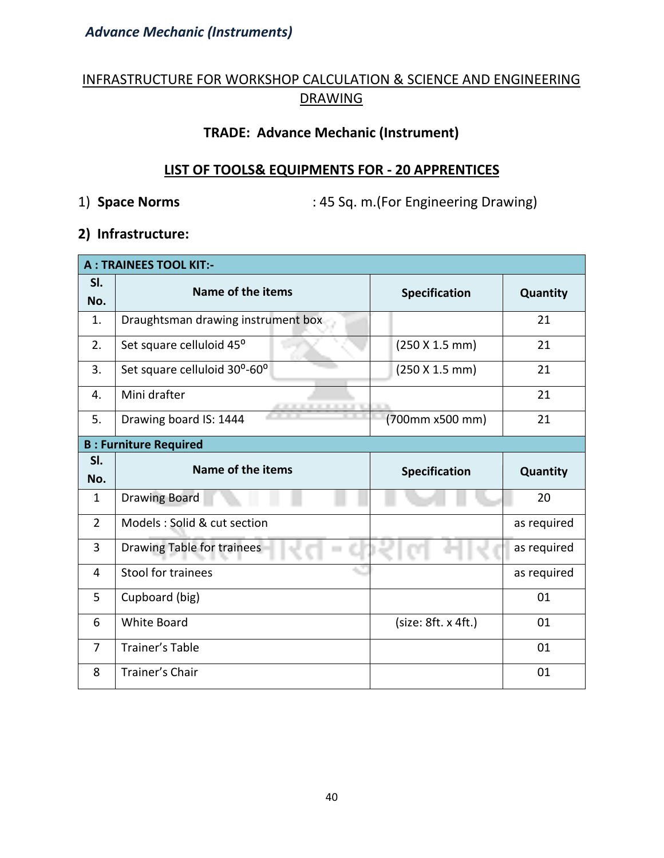#### INFRASTRUCTURE FOR WORKSHOP CALCULATION & SCIENCE AND ENGINEERING DRAWING

#### **TRADE: Advance Mechanic (Instrument)**

#### **LIST OF TOOLS& EQUIPMENTS FOR - 20 APPRENTICES**

1) **Space Norms** : 45 Sq. m.(For Engineering Drawing)

#### **2) Infrastructure:**

|                | <b>A: TRAINEES TOOL KIT:-</b>      |                      |             |  |  |  |  |  |  |
|----------------|------------------------------------|----------------------|-------------|--|--|--|--|--|--|
| SI.<br>No.     | Name of the items                  | <b>Specification</b> | Quantity    |  |  |  |  |  |  |
| 1.             | Draughtsman drawing instrument box |                      | 21          |  |  |  |  |  |  |
| 2.             | Set square celluloid 45°           | (250 X 1.5 mm)       | 21          |  |  |  |  |  |  |
| 3.             | Set square celluloid 30°-60°       | (250 X 1.5 mm)       | 21          |  |  |  |  |  |  |
| 4.             | Mini drafter                       |                      | 21          |  |  |  |  |  |  |
| 5.             | Drawing board IS: 1444             | (700mm x500 mm)      | 21          |  |  |  |  |  |  |
|                | <b>B: Furniture Required</b>       |                      |             |  |  |  |  |  |  |
| SI.            | Name of the items                  |                      |             |  |  |  |  |  |  |
| No.            |                                    | <b>Specification</b> | Quantity    |  |  |  |  |  |  |
|                |                                    |                      |             |  |  |  |  |  |  |
| $\mathbf{1}$   | <b>Drawing Board</b>               |                      | 20          |  |  |  |  |  |  |
| $\overline{2}$ | Models : Solid & cut section       |                      | as required |  |  |  |  |  |  |
| 3              | <b>Drawing Table for trainees</b>  |                      | as required |  |  |  |  |  |  |
| 4              | Stool for trainees                 |                      | as required |  |  |  |  |  |  |
| 5              | Cupboard (big)                     |                      | 01          |  |  |  |  |  |  |
| 6              | <b>White Board</b>                 | (size: 8ft. x 4ft.)  | 01          |  |  |  |  |  |  |
| $\overline{7}$ | <b>Trainer's Table</b>             |                      | 01          |  |  |  |  |  |  |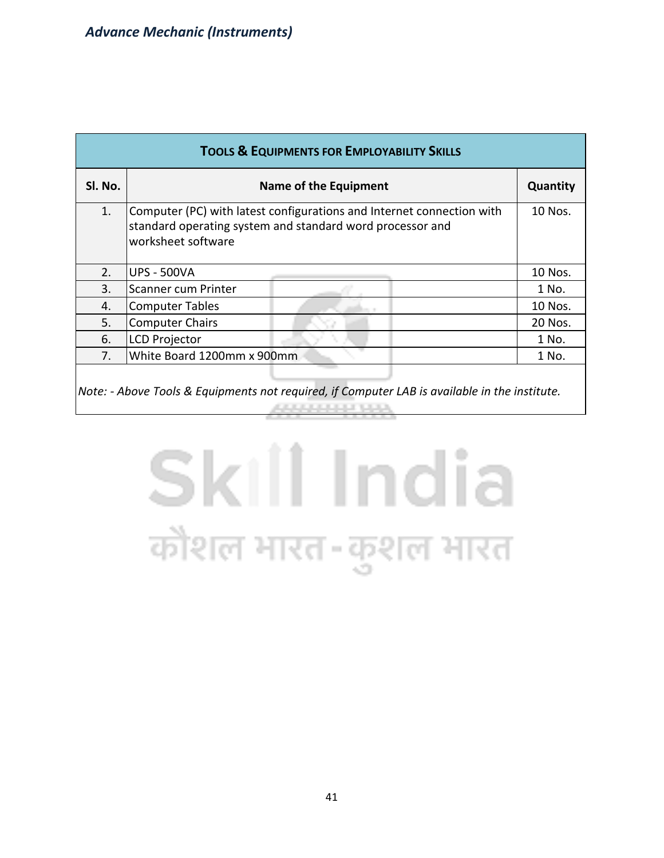| <b>TOOLS &amp; EQUIPMENTS FOR EMPLOYABILITY SKILLS</b> |                                                                                                                                                          |         |  |  |  |  |  |  |  |
|--------------------------------------------------------|----------------------------------------------------------------------------------------------------------------------------------------------------------|---------|--|--|--|--|--|--|--|
| Sl. No.                                                | <b>Name of the Equipment</b>                                                                                                                             |         |  |  |  |  |  |  |  |
| 1.                                                     | Computer (PC) with latest configurations and Internet connection with<br>standard operating system and standard word processor and<br>worksheet software |         |  |  |  |  |  |  |  |
| 2.                                                     | <b>UPS - 500VA</b>                                                                                                                                       | 10 Nos. |  |  |  |  |  |  |  |
| 3.                                                     | Scanner cum Printer                                                                                                                                      | 1 No.   |  |  |  |  |  |  |  |
| 4.                                                     | <b>Computer Tables</b>                                                                                                                                   | 10 Nos. |  |  |  |  |  |  |  |
| 5.                                                     | <b>Computer Chairs</b>                                                                                                                                   | 20 Nos. |  |  |  |  |  |  |  |
| 6.                                                     | <b>LCD Projector</b>                                                                                                                                     | 1 No.   |  |  |  |  |  |  |  |
| 7.                                                     | White Board 1200mm x 900mm                                                                                                                               | 1 No.   |  |  |  |  |  |  |  |
|                                                        | $\vert$ Note: - Above Tools & Equipments not required, if Computer LAB is available in the institute.                                                    |         |  |  |  |  |  |  |  |

## Skill India कौशल भारत-कुशल भारत

49999999999